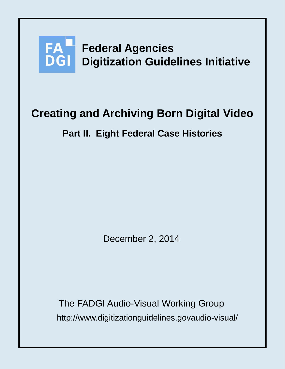

# **Creating and Archiving Born Digital Video**

# **Part II. Eight Federal Case Histories**

December 2, 2014

http://www.digitizationguidelines.govaudio-visual/ The FADGI Audio-Visual Working Group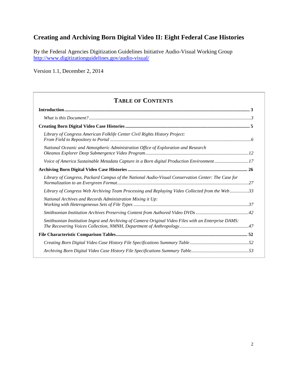# **Creating and Archiving Born Digital Video II: Eight Federal Case Histories**

By the Federal Agencies Digitization Guidelines Initiative Audio-Visual Working Group <http://www.digitizationguidelines.gov/audio-visual/>

Version 1.1, December 2, 2014

# **TABLE OF CONTENTS**

| Library of Congress American Folklife Center Civil Rights History Project:                           |  |
|------------------------------------------------------------------------------------------------------|--|
| National Oceanic and Atmospheric Administration Office of Exploration and Research                   |  |
| Voice of America Sustainable Metadata Capture in a Born digital Production Environment17             |  |
|                                                                                                      |  |
| Library of Congress, Packard Campus of the National Audio-Visual Conservation Center: The Case for   |  |
| Library of Congress Web Archiving Team Processing and Replaying Video Collected from the Web33       |  |
| National Archives and Records Administration Mixing it Up:                                           |  |
|                                                                                                      |  |
| Smithsonian Institution Ingest and Archiving of Camera Original Video Files with an Enterprise DAMS: |  |
|                                                                                                      |  |
|                                                                                                      |  |
|                                                                                                      |  |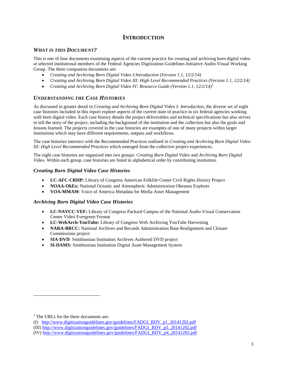# **INTRODUCTION**

# <span id="page-2-1"></span><span id="page-2-0"></span>*WHAT IS THIS DOCUMENT?*

This is one of four documents examining aspects of the current practice for creating and archiving born digital video at selected institutional members of the Federal Agencies Digitization Guidelines Initiative Audio-Visual Working Group. The three companion documents are:

- *Creating and Archiving Born Digital Video I:Introduction (Version 1.1, 12/2/14)*
- *Creating and Archiving Born Digital Video III: High Level Recommended Practices (Version 1.1, 12/2/14)*
- *Creating and Archiving Born Digital Video IV: Resource Guide (Version 1.1, 12/2/14) [1](#page-2-2)*

# *UNDERSTANDING THE CASE HISTORIES*

As discussed in greater detail in *Creating and Archiving Born Digital Video I: Introduction,* the diverse set of eight case histories included in this report explore aspects of the current state of practice in six federal agencies working with born digital video. Each case history details the project deliverables and technical specifications but also strives to tell the story of the project, including the background of the institution and the collection but also the goals and lessons learned. The projects covered in the case histories are examples of one of many projects within larger institutions which may have different requirements, outputs and workflows.

The case histories intersect with the Recommended Practices outlined in *Creating and Archiving Born Digital Video III: High Level Recommended Practices* which emerged from the collective project experiences.

The eight case histories are organized into two groups: *Creating Born Digital Video* and *Archiving Born Digital Video*. Within each group, case histories are listed in alphabetical order by contributing institution.

#### *Creating Born Digital Video Case Histories*

- **LC-AFC-CRHP:** Library of Congress American Folklife Center Civil Rights History Project
- **NOAA-OkEx:** National Oceanic and Atmospheric Administration Okeanus Explorer
- **VOA-MMAM**: Voice of America Metadata for Media Asset Management

#### *Archiving Born Digital Video Case Histories*

- **LC-NAVCC-VEF:** Library of Congress Packard Campus of the National Audio-Visual Conservation Center Video Evergreen Format
- **LC-WebArch-YouTube:** Library of Congress Web Archiving YouTube Harvesting
- **NARA-BRCC:** National Archives and Records Administration Base Realignment and Closure Commissions project
- **SIA-DVD**: Smithsonian Institution Archives Authored DVD project
- **SI-DAMS:** Smithsonian Institution Digital Asset Management System

<span id="page-2-2"></span><sup>&</sup>lt;sup>1</sup> The URLs for the three documents are:

<sup>(</sup>I) [http://www.digitizationguidelines.gov/guidelines/FADGI\\_BDV\\_p1\\_20141202.pdf](http://www.digitizationguidelines.gov/guidelines/FADGI_BDV_p1_20141202.pdf)

<sup>(</sup>III) [http://www.digitizationguidelines.gov/guidelines/FADGI\\_BDV\\_p3\\_20141202.pdf](http://www.digitizationguidelines.gov/guidelines/FADGI_BDV_p3_20141202.pdf)

<sup>(</sup>IV[\) http://www.digitizationguidelines.gov/guidelines/FADGI\\_BDV\\_p4\\_20141202.pdf](http://www.digitizationguidelines.gov/guidelines/FADGI_BDV_p4_20141202.pdf)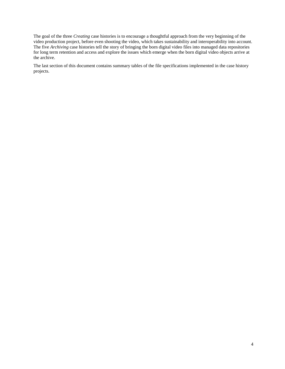The goal of the three *Creating* case histories is to encourage a thoughtful approach from the very beginning of the video production project, before even shooting the video, which takes sustainability and interoperability into account. The five *Archiving* case histories tell the story of bringing the born digital video files into managed data repositories for long term retention and access and explore the issues which emerge when the born digital video objects arrive at the archive.

The last section of this document contains summary tables of the file specifications implemented in the case history projects.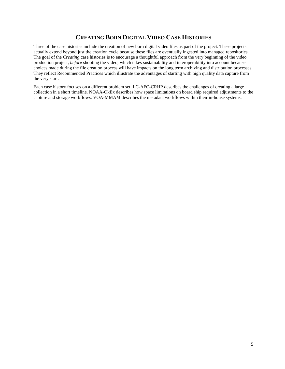# **CREATING BORN DIGITAL VIDEO CASE HISTORIES**

<span id="page-4-0"></span>Three of the case histories include the creation of new born digital video files as part of the project. These projects actually extend beyond just the creation cycle because these files are eventually ingested into managed repositories. The goal of the *Creating* case histories is to encourage a thoughtful approach from the very beginning of the video production project, *before* shooting the video, which takes sustainability and interoperability into account because choices made during the file creation process will have impacts on the long term archiving and distribution processes. They reflect Recommended Practices which illustrate the advantages of starting with high quality data capture from the very start.

Each case history focuses on a different problem set. LC-AFC-CRHP describes the challenges of creating a large collection in a short timeline. NOAA-OkEx describes how space limitations on board ship required adjustments to the capture and storage workflows. VOA-MMAM describes the metadata workflows within their in-house systems.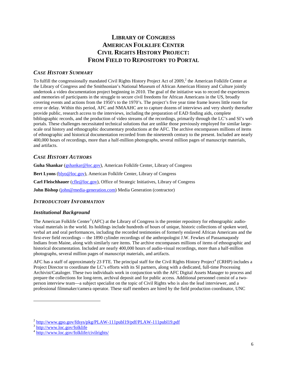# **LIBRARY OF CONGRESS AMERICAN FOLKLIFE CENTER CIVIL RIGHTS HISTORY PROJECT: FROM FIELD TO REPOSITORY TO PORTAL**

# <span id="page-5-0"></span>*CASE HISTORY SUMMARY*

To fulfill the congressionally mandated Civil Rights History Project Act of [2](#page-5-1)009,<sup>2</sup> the American Folklife Center at the Library of Congress and the Smithsonian's National Museum of African American History and Culture jointly undertook a video documentation project beginning in 2010. The goal of the initiative was to record the experiences and memories of participants in the struggle to secure civil freedoms for African Americans in the US, broadly covering events and actions from the 1950's to the 1970's. The project's five year time frame leaves little room for error or delay. Within this period, AFC and NMAAHC are to capture dozens of interviews and very shortly thereafter provide public, research access to the interviews, including the preparation of EAD finding aids, complete bibliographic records, and the production of video streams of the recordings, primarily through the LC's and SI's web portals. These challenges necessitated technical solutions that are unlike those previously employed for similar largescale oral history and ethnographic documentary productions at the AFC. The archive encompasses millions of items of ethnographic and historical documentation recorded from the nineteenth century to the present. Included are nearly 400,000 hours of recordings, more than a half-million photographs, several million pages of manuscript materials, and artifacts.

# *CASE HISTORY AUTHORS*

**Guha Shankar** [\(gshankar@loc.gov\)](mailto:gshankar@loc.gov), American Folklife Center, Library of Congress **Bert Lyons** [\(blyo@loc.gov\)](mailto:blyo@loc.gov), American Folklife Center, Library of Congress Carl Fleischhauer [\(cfle@loc.gov\)](mailto:cfle@loc.gov), Office of Strategic Initiatives, Library of Congress **John Bishop** ([john@media-generation.com\)](mailto:John@media-generation.com) Media Generation (contractor)

#### *INTRODUCTORY INFORMATION*

#### *Institutional Background*

The American Folklife Center<sup>[3](#page-5-2)</sup> (AFC) at the Library of Congress is the premier repository for ethnographic audiovisual materials in the world. Its holdings include hundreds of hours of unique, historic collections of spoken word, verbal art and oral performances, including the recorded testimonies of formerly enslaved African Americans and the first-ever field recordings -- the 1890 cylinder recordings of the anthropologist J.W. Fewkes of Passamaquody Indians from Maine, along with similarly rare items. The archive encompasses millions of items of ethnographic and historical documentation. Included are nearly 400,000 hours of audio-visual recordings, more than a half-million photographs, several million pages of manuscript materials, and artifacts.

AFC has a staff of approximately 23 FTE. The principal staff for the Civil Rights History Project<sup>[4](#page-5-3)</sup> (CRHP) includes a Project Director to coordinate the LC's efforts with its SI partners, along with a dedicated, full-time Processing Archivist/Cataloger. These two individuals work in conjunction with the AFC Digital Assets Manager to process and prepare the collections for long-term, archival deposit and for public access. Additional personnel consist of a twoperson interview team—a subject specialist on the topic of Civil Rights who is also the lead interviewer, and a professional filmmaker/camera operator. These staff members are hired by the field production coordinator, UNC

<span id="page-5-1"></span> $\frac{2 \text{ http://www.gpo.gov/fdsys/pkg/PLAW-111pub119/pdf/PLAW-111pub119.pdf}}{3 \text{ http://www.loc.gov/fdsklife}}}$ 

<span id="page-5-2"></span>

<span id="page-5-3"></span><sup>4</sup> http://www.loc.gov/folklife/civilrights/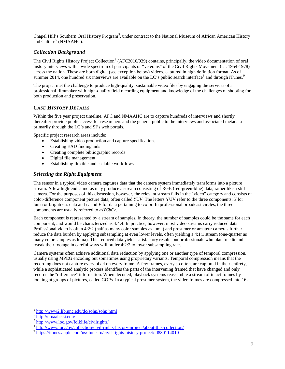Chapel Hill's Southern Oral History Program<sup>[5](#page-6-0)</sup>, under contract to the National Museum of African American History and Culture<sup>[6](#page-6-1)</sup> (NMAAHC).

#### *Collection Background*

The Civil Rights History Project Collection<sup>[7](#page-6-2)</sup> (AFC2010/039) contains, principally, the video documentation of oral history interviews with a wide spectrum of participants or "veterans" of the Civil Rights Movement (ca. 1954-1978) across the nation. These are born digital (see exception below) videos, captured in high definition format. As of summer 2014, one hundred six interviews are available on the LC's public search interface  $\delta$  and through iTunes.

The project met the challenge to produce high-quality, sustainable video files by engaging the services of a professional filmmaker with high-quality field recording equipment and knowledge of the challenges of shooting for both production and preservation.

# *CASE HISTORY DETAILS*

Within the five year project timeline, AFC and NMAAHC are to capture hundreds of interviews and shortly thereafter provide public access for researchers and the general public to the interviews and associated metadata primarily through the LC's and SI's web portals.

Specific project research areas include:

- Establishing video production and capture specifications
- Creating EAD finding aids
- Creating complete bibliographic records
- Digital file management
- Establishing flexible and scalable workflows

# *Selecting the Right Equipment*

The sensor in a typical video camera captures data that the camera system immediately transforms into a picture stream. A few high-end cameras may produce a stream consisting of RGB (red-green-blue) data, rather like a still camera. For the purposes of this discussion, however, the relevant stream falls in the "video" category and consists of color-difference component picture data, often called *YUV*. The letters YUV refer to the three components: *Y* for luma or brightness data and *U* and *V* for data pertaining to color. In professional broadcast circles, the three components are usually referred to as*YCbCr*.

Each component is represented by a stream of samples. In theory, the number of samples could be the same for each component, and would be characterized as 4:4:4. In practice, however, most video streams carry reduced data. Professional video is often 4:2:2 (half as many color samples as luma) and prosumer or amateur cameras further reduce the data burden by applying subsampling at even lower levels, often yielding a 4:1:1 stream (one-quarter as many color samples as luma). This reduced data yields satisfactory results but professionals who plan to edit and tweak their footage in careful ways will prefer 4:2:2 to lower subsampling rates.

Camera systems often achieve additional data reduction by applying one or another type of temporal compression, usually using MPEG encoding but sometimes using proprietary variants. Temporal compression means that the recording does not capture every pixel on every frame. A few frames, every so often, are captured in their entirety, while a sophisticated analytic process identifies the parts of the intervening framed that have changed and only records the "difference" information. When decoded, playback systems reassemble a stream of intact frames by looking at groups of pictures, called GOPs. In a typical prosumer system, the video frames are compressed into 16-

<span id="page-6-0"></span><sup>5</sup> <http://www2.lib.unc.edu/dc/sohp/sohp.html>

<span id="page-6-1"></span> $6 \overline{\text{http://nmaahc.si.edu/}}$  $6 \overline{\text{http://nmaahc.si.edu/}}$  $6 \overline{\text{http://nmaahc.si.edu/}}$ 

<sup>7</sup> <http://www.loc.gov/folklife/civilrights/>

<span id="page-6-3"></span><span id="page-6-2"></span> $\frac{8 \text{http://www.loc.gov/collections/civil-right} \text{history-project/about-this-collection}}{\text{https://itunes.apple.com/us/itunes-u/civil-right} \text{https://itunes.apple.com/us/itunes-u/civil-right} \text{https://itunes.apple.com/us/itunes-u/civil-right}$ 

<span id="page-6-4"></span>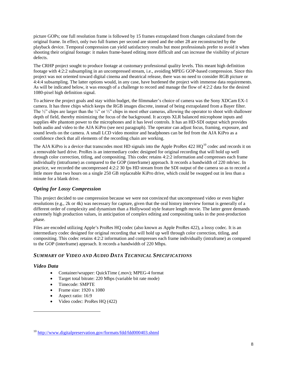picture GOPs; one full resolution frame is followed by 15 frames extrapolated from changes calculated from the original frame. In effect, only two full frames per second are stored and the other 28 are reconstructed by the playback device. Temporal compression can yield satisfactory results but most professionals prefer to avoid it when shooting their original footage: it makes frame-based editing more difficult and can increase the visibility of picture defects.

The CRHP project sought to produce footage at customary professional quality levels. This meant high definition footage with 4:2:2 subsampling in an uncompressed stream, i.e., avoiding MPEG GOP-based compression. Since this project was not oriented toward digital cinema and theatrical release, there was no need to consider RGB picture or 4:4:4 subsampling. The latter options would, in any case, have burdened the project with immense data requirements. As will be indicated below, it was enough of a challenge to record and manage the flow of 4:2:2 data for the desired 1080-pixel high definition signal.

To achieve the project goals and stay within budget, the filmmaker's choice of camera was the Sony XDCam EX-1 camera. It has three chips which keeps the RGB images discrete, instead of being extrapolated from a Bayer filter. The  $\frac{1}{2}$ " chips are larger than the ¼" or ¼" chips in most other cameras, allowing the operator to shoot with shallower depth of field, thereby minimizing the focus of the background. It accepts XLR balanced microphone inputs and supplies 48v phantom power to the microphones and it has level controls. It has an HD-SDI output which provides both audio and video to the AJA KiPro (see next paragraph). The operator can adjust focus, framing, exposure, and sound levels on the camera. A small LCD video monitor and headphones can be fed from the AJA KiPro as a confidence check that all elements of the recording chain are working.

The AJA KiPro is a device that transcodes most HD signals into the Apple ProRes 422 HO<sup>[10](#page-7-0)</sup> codec and records it on a removable hard drive. ProRes is an intermediary codec designed for original recording that will hold up well through color correction, titling, and compositing. This codec retains 4:2:2 information and compresses each frame individually (intraframe) as compared to the GOP (interframe) approach. It records a bandwidth of 220 mb/sec. In practice, we recorded the uncompressed 4:2:2 30 fps HD stream from the SDI output of the camera so as to record a little more than two hours on a single 250 GB replaceable KiPro drive, which could be swapped out in less than a minute for a blank drive.

# *Opting for Lossy Compression*

This project decided to use compression because we were not convinced that uncompressed video or even higher resolutions (e.g., 2k or 4k) was necessary for capture, given that the oral history interview format is generally of a different order of complexity and dynamism than a Hollywood style feature length movie. The latter genre demands extremely high production values, in anticipation of complex editing and compositing tasks in the post-production phase.

Files are encoded utilizing Apple's ProRes HQ codec (also known as Apple ProRes 422), a lossy codec. It is an intermediary codec designed for original recording that will hold up well through color correction, titling, and compositing. This codec retains 4:2:2 information and compresses each frame individually (intraframe) as compared to the GOP (interframe) approach. It records a bandwidth of 220 Mbps.

# *SUMMARY OF VIDEO AND AUDIO DATA TECHNICAL SPECIFICATIONS*

# *Video Data*

- Container/wrapper: QuickTime (.mov); MPEG-4 format
- Target total bitrate: 220 Mbps (variable bit rate mode)
- Timecode: SMPTE
- Frame size: 1920 x 1080
- Aspect ratio: 16:9
- Video codec: ProRes HQ (422)

<span id="page-7-0"></span><sup>&</sup>lt;sup>10</sup> <http://www.digitalpreservation.gov/formats/fdd/fdd000403.shtml>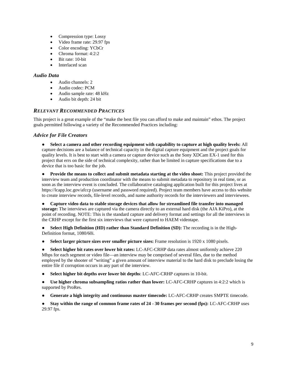- Compression type: Lossy
- Video frame rate: 29.97 fps
- Color encoding: YCbCr
- Chroma format: 4:2:2
- Bit rate: 10-bit
- Interlaced scan

#### *Audio Data*

- Audio channels: 2
- Audio codec: PCM
- Audio sample rate: 48 kHz
- Audio bit depth: 24 bit

#### *RELEVANT RECOMMENDED PRACTICES*

This project is a great example of the "make the best file you can afford to make and maintain" ethos. The project goals permitted following a variety of the Recommended Practices including:

#### *Advice for File Creators*

● **Select a camera and other recording equipment with capability to capture at high quality levels:** All capture decisions are a balance of technical capacity in the digital capture equipment and the project goals for quality levels. It is best to start with a camera or capture device such as the Sony XDCam EX-1 used for this project that errs on the side of technical complexity, rather than be limited in capture specifications due to a device that is too basic for the job.

• **Provide the means to collect and submit metadata starting at the video shoot:** This project provided the interview team and production coordinator with the means to submit metadata to repository in real time, or as soon as the interview event is concluded. The collaborative cataloging application built for this project lives at <https://lcapp.loc.gov/afccp> (username and password required). Project team members have access to this website to create interview records, file-level records, and name authority records for the interviewers and interviewees.

● **Capture video data to stable storage devices that allow for streamlined file transfer into managed storage:** The interviews are captured via the camera directly to an external hard disk (the AJA KiPro), at the point of recording. NOTE: This is the standard capture and delivery format and settings for all the interviews in the CRHP except for the first six interviews that were captured to HAEM videotape.

**Select High Definition (HD) rather than Standard Definition (SD):** The recording is in the High-Definition format, 1080/60i.

● **Select larger picture sizes over smaller picture sizes:** Frame resolution is 1920 x 1080 pixels.

● **Select higher bit rates over lower bit rates:** LC-AFC-CRHP data rates almost uniformly achieve 220 Mbps for each segment or video file—an interview may be comprised of several files, due to the method employed by the shooter of "writing" a given amount of interview material to the hard disk to preclude losing the entire file if corruption occurs in any part of the interview.

- **Select higher bit depths over lower bit depths**: LC-AFC-CRHP captures in 10-bit.
- **Use higher chroma subsampling ratios rather than lower:** LC-AFC-CRHP captures in 4:2:2 which is supported by ProRes.
- **Generate a high integrity and continuous master timecode:** LC-AFC-CRHP creates SMPTE timecode.

● **Stay within the range of common frame rates of 24 - 30 frames per second (fps):** LC-AFC-CRHP uses 29.97 fps.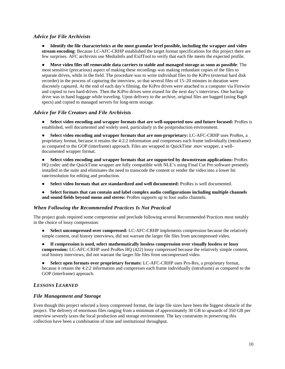#### *Advice for File Archivists*

● **Identify the file characteristics at the most granular level possible, including the wrapper and video stream encoding**: Because LC-AFC-CRHP established the target format specifications for this project there are few surprises. AFC archivists use MediaInfo and ExifTool to verify that each file meets the expected profile.

● **Move video files off removable data carriers to stable and managed storage as soon as possible**: The most sensitive (precarious) aspect of making these recordings was making redundant copies of the files to separate drives, while in the field. The procedure was to write individual files to the KiPro (external hard disk recorder) in the process of capturing the interview, so that several files of 15–20 minutes in duration were discretely captured. At the end of each day's filming, the KiPro drives were attached to a computer via Firewire and copied to two hard-drives. Then the KiPro drives were erased for the next day's interviews. One backup drive was in hand luggage while traveling. Upon delivery to the archive, original files are bagged (using BagIt specs) and copied to managed servers for long-term storage.

#### *Advice for File Creators and File Archivists*

**Select video encoding and wrapper formats that are well-supported now and future focused:** ProRes is established, well documented and widely used, particularly in the postproduction environment.

● **Select video encoding and wrapper formats that are non-proprietary:** LC-AFC-CRHP uses ProRes, a proprietary format, because it retains the 4:2:2 information and compresses each frame individually (intraframe) as compared to the GOP (interframe) approach. Files are wrapped in QuickTime .mov wrapper, a welldocumented wrapper format.

● **Select video encoding and wrapper formats that are supported by downstream applications:** ProRes HQ codec and the QuickTime wrapper are fully compatible with NLE's using Final Cut Pro software presently installed in the suite and eliminates the need to transcode the content or render the video into a lower bit rate/resolution for editing and production.

- **Select video formats that are standardized and well documented:** ProRes is well documented.
- **Select formats that can contain and label complex audio configurations including multiple channels and sound fields beyond mono and stereo:** ProRes supports up to four audio channels.

#### *When Following the Recommended Practices Is Not Practical*

The project goals required some compromise and preclude following several Recommended Practices most notably in the choice of lossy compression:

- **Select uncompressed over compressed:** LC-AFC-CRHP implements compression because the relatively simple content, oral history interviews, did not warrant the larger file files from uncompressed video.
- **If compression is used, select mathematically lossless compression over visually lossless or lossy compression:** LC-AFC-CRHP used ProRes HQ (422) lossy compressed because the relatively simple content, oral history interviews, did not warrant the larger file files from uncompressed video.

● **Select open formats over proprietary formats:** LC-AFC-CRHP uses Pro-Res, a proprietary format, because it retains the 4:2:2 information and compresses each frame individually (intraframe) as compared to the GOP (interframe) approach.

# *LESSONS LEARNED*

#### *File Management and Storage*

Even though this project selected a lossy compressed format, the large file sizes have been the biggest obstacle of the project. The delivery of enormous files ranging from a minimum of approximately 30 GB to upwards of 350 GB per interview severely taxes the local production and storage environment. The key constraints in preserving this collection have been a combination of time and institutional throughput.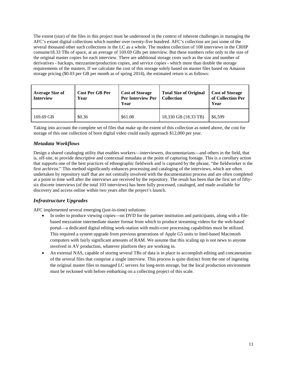The extent (size) of the files in this project must be understood in the context of inherent challenges in managing the AFC's extant digital collections which number over twenty-five hundred. AFC's collection are just some of the several thousand other such collections in the LC as a whole. The modest collection of 108 interviews in the CRHP consume18.33 TBs of space, at an average of 169.69 GBs per interview. But these numbers refer only to the size of the original master copies for each interview. There are additional storage costs such as the size and number of derivatives - backups, mezzanine/production copies, and service copies - which more than double the storage requirements of the masters. If we calculate the cost of this storage solely based on master files based on Amazon storage pricing (\$0.03 per GB per month as of spring 2014), the estimated return is as follows:

| <b>Average Size of</b><br><b>Interview</b> | <b>Cost Per GB Per</b><br>Year | <b>Cost of Storage</b><br>Per Interview Per<br>Year | <b>Total Size of Original</b><br><b>Collection</b> | <b>Cost of Storage</b><br>of Collection Per<br>Year |
|--------------------------------------------|--------------------------------|-----------------------------------------------------|----------------------------------------------------|-----------------------------------------------------|
| 169.69 GB                                  | \$0.36                         | \$61.08                                             | 18,330 GB (18.33 TB)                               | \$6.599                                             |

Taking into account the complete set of files that make up the extent of this collection as noted above, the cost for storage of this one collection of born digital video could easily approach \$12,000 per year.

# *Metadata Workflows*

Design a shared cataloging utility that enables workers—interviewers, documentarians—and others in the field, that is, off-site, to provide descriptive and contextual metadata at the point of capturing footage. This is a corollary action that supports one of the best practices of ethnographic fieldwork and is captured by the phrase, "the fieldworker is the first archivist." This method significantly enhances processing and cataloging of the interviews, which are often undertaken by repository staff that are not centrally involved with the documentation process and are often completed at a point in time well after the interviews are received by the repository. The result has been that the first set of fiftysix discrete interviews (of the total 103 interviews) has been fully processed, cataloged, and made available for discovery and access online within two years after the project's launch.

# *Infrastructure Upgrades*

AFC implemented several emerging (just-in-time) solutions:

- In order to produce viewing copies—on DVD for the partner institution and participants, along with a filebased mezzanine intermediate master format from which to produce streaming videos for the web-based portal—a dedicated digital editing work-station with multi-core processing capabilities must be utilized. This required a system upgrade from previous generations of Apple G5 units to Intel-based Macintosh computers with fairly significant amounts of RAM. We assume that this scaling up is not news to anyone involved in AV production, whatever platform they are working in.
- An external NAS, capable of storing several TBs of data is in place to accomplish editing and concatenation of the several files that comprise a single interview. This process is quite distinct from the one of ingesting the original master files to managed LC servers for long-term storage, but the local production environment must be reckoned with before embarking on a collecting project of this scale.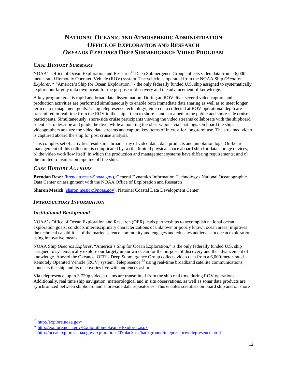# **NATIONAL OCEANIC AND ATMOSPHERIC ADMINISTRATION OFFICE OF EXPLORATION AND RESEARCH** *OKEANOS EXPLORER* **DEEP SUBMERGENCE VIDEO PROGRAM**

# <span id="page-11-0"></span>*CASE HISTORY SUMMARY*

NOAA's Office of Ocean Exploration and Research<sup>[11](#page-11-1)</sup> Deep Submergence Group collects video data from a 6,000meter-rated Remotely Operated Vehicle (ROV) system. The vehicle is operated from the NOAA Ship *Okeanos Explorer*,<sup>[12](#page-11-2)</sup> "America's Ship for Ocean Exploration," - the only federally funded U.S. ship assigned to systematically explore our largely unknown ocean for the purpose of discovery and the advancement of knowledge.

A key program goal is rapid and broad data dissemination. During an ROV dive, several video capture and production activities are performed simultaneously to enable both immediate data sharing as well as to meet longer term data management goals. Using telepresence technology, video data collected at ROV operational depth are transmitted in real time from the ROV to the ship – then to shore – and streamed to the public and shore-side cruise participants. Simultaneously, shore-side cruise participants viewing the video streams collaborate with the shipboard scientists to describe and guide the dive, while annotating the observations via chat logs. On board the ship, videographers analyze the video data streams and capture key items of interest for long-term use. The streamed video is captured aboard the ship for post cruise analysis.

This complex set of activities results in a broad array of video data, data products and annotation logs. On-board management of this collection is complicated by: a) the limited physical space aboard ship for data storage devices; b) the video workflow itself, in which the production and management systems have differing requirements; and c) the limited transmission pipeline off the ship.

# *CASE HISTORY AUTHORS*

**Brendan Reser** [\(brendan.reser@noaa.gov\)](mailto:brendan.reser@noaa.gov), General Dynamics Information Technology / National Oceanographic Data Center on assignment with the NOAA Office of Exploration and Research

**Sharon Mesick** [\(sharon.mesick@noaa.gov\)](mailto:sharon.mesick@noaa.gov), National Coastal Data Development Center

#### *INTRODUCTORY INFORMATION*

#### *Institutional Background*

NOAA's Office of Ocean Exploration and Research (OER) leads partnerships to accomplish national ocean exploration goals; conducts interdisciplinary characterizations of unknown or poorly known ocean areas; improves the technical capabilities of the marine science community and engages and educates audiences in ocean exploration using innovative means.

NOAA Ship *Okeanos Explorer*, "America's Ship for Ocean Exploration," is the only federally funded U.S. ship assigned to systematically explore our largely unknown ocean for the purpose of discovery and the advancement of knowledge. Aboard the Okeanos, OER's Deep Submergence Group collects video data from a 6,000-meter-rated Remotely Operated Vehicle (ROV) syste[m.](http://oceanexplorer.noaa.gov/explorations/07blacksea/background/telepresence/telepresence.html) Telepresence,<sup>[13](#page-11-3)</sup> using real-time broadband satellite communications, connects the ship and its discoveries live with audiences ashore.

Via telepresence, up to 3 720p video streams are transmitted from the ship real time during ROV operations. Additionally, real time ship navigation, meteorological and in situ observations, as well as sonar data products are synchronized between shipboard and shore-side data repositories. This enables scientists on board ship and on shore

<span id="page-11-1"></span>

<span id="page-11-3"></span><span id="page-11-2"></span>

<sup>&</sup>lt;sup>11</sup> <http://explore.noaa.gov/><br><sup>12</sup> <http://explore.noaa.gov/Exploration/OkeanosExplorer.aspx><br><sup>13</sup> <http://oceanexplorer.noaa.gov/explorations/07blacksea/background/telepresence/telepresence.html>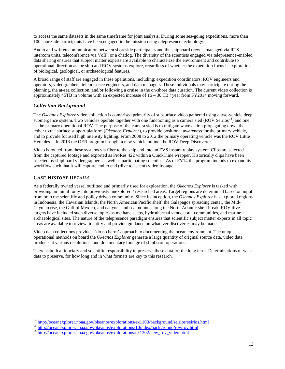to access the same datasets in the same timeframe for joint analysis. During some sea-going expeditions, more than 100 shoreside participants have been engaged in the mission using telepresence technology.

Audio and written communication between shoreside participants and the shipboard crew is managed via RTS intercom units, teleconference via VoIP, or a chatlog. The diversity of the scientists engaged via telepresence-enabled data sharing ensures that subject matter experts are available to characterize the environment and contribute to operational direction as the ship and ROV systems explore, regardless of whether the expedition focus is exploration of biological, geological, or archaeological features.

A broad range of staff are engaged in these operations, including: expedition coordinators, ROV engineers and operators, videographers, telepresence engineers, and data managers. These individuals may participate during the planning, the at-sea collection, and/or following a cruise in the on-shore data curation. The current video collection is approximately 45TB in volume with an expected increase of 16 – 30 TB / year from FY2014 moving forward.

# *Collection Background*

The *Okeanos Explorer* video collection is comprised primarily of subsurface video gathered using a two-vehicle deep submergence system. Two vehicles operate together with one functioning as a camera sled (ROV Seirios<sup>14</sup>) and one as the primary operational ROV. The purpose of the camera sled is to mitigate wave action propagating down the tether to the surface support platform (*Okeanos Explorer*), to provide positional awareness for the primary vehicle, and to provide focused high intensity lighting. From 2008 to 2012 the primary operating vehicle was the ROV Little Hercules<sup>[15](#page-12-1)</sup>. In 2013 the OER program brought a new vehicle online, the ROV Deep Discoverer.<sup>[16](#page-12-2)</sup>

Video is routed from these systems via fiber to the ship and into an EVS instant replay system. Clips are selected from the captured footage and exported as ProRes 422 within a QuickTime wrapper. Historically clips have been selected by shipboard videographers as well as participating scientists. As of FY14 the program intends to expand its workflow such that it will capture end to end (dive to ascent) video footage.

# *CASE HISTORY DETAILS*

 $\overline{a}$ 

As a federally owned vessel outfitted and primarily used for exploration, the *Okeanos Explorer* is tasked with providing an initial foray into previously unexplored / researched areas. Target regions are determined based on input from both the scientific and policy driven community. Since its inception, the *Okeanos Explorer* has explored regions in Indonesia, the Hawaiian Islands, the North American Pacific shelf, the Galapagos spreading center, the Mid-Cayman rise, the Gulf of Mexico, and canyons and sea mounts along the North Atlantic shelf break. ROV dive targets have included such diverse topics as methane seeps, hydrothermal vents, coral communities, and marine archaeological sites. The nature of the telepresence paradigm ensures that scientific subject matter experts in all topic areas are available to review, identify and provide guidance on whatever discoveries may be made.

Video data collections provide a 'do no harm' approach to documenting the ocean environment. The unique operational methods on board the *Okeanos Explorer* generate a large quantity of original source data, video data products at various resolutions, and documentary footage of shipboard operations.

There is both a fiduciary and scientific responsibility to preserve these data for the long term. Determinations of what data to preserve, for how long and in what formats are key to this research.

<span id="page-12-0"></span><sup>&</sup>lt;sup>14</sup> <http://oceanexplorer.noaa.gov/okeanos/explorations/ex1103/background/seirios/seirios.html><br><sup>15</sup> http://oceanexplorer.noaa.gov/okeanos/explorations/10index/background/rov/rov.html<br><sup>16</sup> http://oceanexplorer.noaa.gov/oke

<span id="page-12-1"></span>

<span id="page-12-2"></span>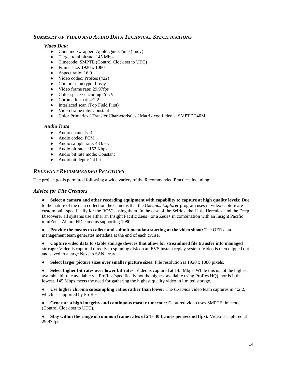# *SUMMARY OF VIDEO AND AUDIO DATA TECHNICAL SPECIFICATIONS*

#### *Video Data*

- Container/wrapper: Apple QuickTime (.mov)
- Target total bitrate: 145 Mbps
- Timecode: SMPTE (Control Clock set to UTC)
- Frame size: 1920 x 1080
- Aspect ratio: 16:9
- Video codec: ProRes (422)
- Compression type: Lossy
- Video frame rate: 29.97fps
- Color space / encoding: YUV
- Chroma format: 4:2:2
- Interlaced scan (Top Field First)
- Video frame rate: Constant
- Color Primaries / Transfer Characteristics / Matrix coefficients: SMPTE 240M

#### *Audio Data*

- Audio channels: 4
- Audio codec: PCM
- Audio sample rate: 48 kHz
- Audio bit rate: 1152 Kbps
- Audio bit rate mode: Constant
- Audio bit depth: 24 bit

#### *RELEVANT RECOMMENDED PRACTICES*

The project goals permitted following a wide variety of the Recommended Practices including:

#### *Advice for File Creators*

● **Select a camera and other recording equipment with capability to capture at high quality levels:** Due to the nature of the data collection the cameras that the *Okeanos Explorer* program uses in video capture are custom built specifically for the ROV's using them. In the case of the Seirios, the Little Hercules, and the Deep Discoverer all systems use either an Insight Pacific Zeus+ or a Zeus+ in combination with an Insight Pacific miniZeus. All are HD cameras supporting 1080i.

● **Provide the means to collect and submit metadata starting at the video shoot:** The OER data management team generates metadata at the end of each cruise.

● **Capture video data to stable storage devices that allow for streamlined file transfer into managed storage:** Video is captured directly to spinning disk on an EVS instant replay system. Video is then clipped out and saved to a large Nexsan SAN array.

● **Select larger picture sizes over smaller picture sizes:** File resolution is 1920 x 1080 pixels.

● **Select higher bit rates over lower bit rates:** Video is captured at 145 Mbps. While this is not the highest available bit rate available via ProRes (specifically not the highest available using ProRes HQ), nor is it the lowest. 145 Mbps meets the need for gathering the highest quality video in limited storage.

● **Use higher chroma subsampling ratios rather than lower**: The *Okeanos* video team captures in 4:2:2, which is supported by ProRes

● **Generate a high integrity and continuous master timecode:** Captured video uses SMPTE timecode (Control Clock set to UTC).

**Stay within the range of common frame rates of 24 - 30 frames per second (fps):** Video is captured at 29.97 fps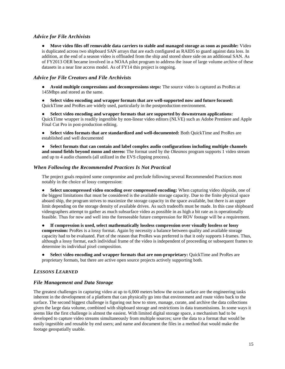#### *Advice for File Archivists*

● **Move video files off removable data carriers to stable and managed storage as soon as possible:** Video is duplicated across two shipboard SAN arrays that are each configured as RAID5 to guard against data loss. In addition, at the end of a season video is offloaded from the ship and stored shore side on an additional SAN. As of FY2013 OER became involved in a NOAA pilot program to address the issue of large volume archive of these datasets in a near line access model. As of FY14 this project is ongoing.

#### *Advice for File Creators and File Archivists*

● **Avoid multiple compressions and decompressions steps:** The source video is captured as ProRes at 145Mbps and stored as the same.

● **Select video encoding and wrapper formats that are well-supported now and future focused:**  QuickTime and ProRes are widely used, particularly in the postproduction environment.

● **Select video encoding and wrapper formats that are supported by downstream applications:**  QuickTime wrapper is readily ingestible by non-linear video editors (NLVE) such as Adobe Premiere and Apple Final Cut Pro in post-production editing.

● **Select video formats that are standardized and well-documented:** Both QuickTime and ProRes are established and well documented

● **Select formats that can contain and label complex audio configurations including multiple channels and sound fields beyond mono and stereo:** The format used by the *Okeanos* program supports 1 video stream and up to 4 audio channels (all utilized in the EVS clipping process).

#### *When Following the Recommended Practices Is Not Practical*

The project goals required some compromise and preclude following several Recommended Practices most notably in the choice of lossy compression:

● **Select uncompressed video encoding over compressed encoding:** When capturing video shipside, one of the biggest limitations that must be considered is the available storage capacity. Due to the finite physical space aboard ship, the program strives to maximize the storage capacity in the space available, but there is an upper limit depending on the storage density of available drives. As such tradeoffs must be made. In this case shipboard videographers attempt to gather as much subsurface video as possible in as high a bit rate as is operationally feasible. Thus for now and well into the foreseeable future compression for ROV footage will be a requirement.

● **If compression is used, select mathematically lossless compression over visually lossless or lossy compression:** ProRes is a lossy format. Again by necessity a balance between quality and available storage capacity had to be evaluated. Part of the reason that ProRes was preferred is that it only supports I-frames. Thus, although a lossy format, each individual frame of the video is independent of proceeding or subsequent frames to determine its individual pixel composition.

● **Select video encoding and wrapper formats that are non-proprietary:** QuickTime and ProRes are proprietary formats, but there are active open source projects actively supporting both.

# *LESSONS LEARNED*

#### *File Management and Data Storage*

The greatest challenges in capturing video at up to 6,000 meters below the ocean surface are the engineering tasks inherent in the development of a platform that can physically go into that environment and route video back to the surface. The second biggest challenge is figuring out how to store, manage, curate, and archive the data collections given the large data volume, combined with shipboard storage and restrictions in data transmissions. In some ways it seems like the first challenge is almost the easiest. With limited digital storage space, a mechanism had to be developed to capture video streams simultaneously from multiple sources; save the data to a format that would be easily ingestible and reusable by end users; and name and document the files in a method that would make the footage geospatially usable.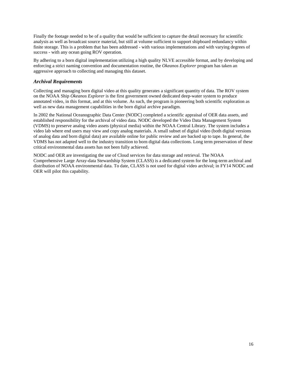Finally the footage needed to be of a quality that would be sufficient to capture the detail necessary for scientific analysis as well as broadcast source material, but still at volume sufficient to support shipboard redundancy within finite storage. This is a problem that has been addressed - with various implementations and with varying degrees of success - with any ocean going ROV operation.

By adhering to a born digital implementation utilizing a high quality NLVE accessible format, and by developing and enforcing a strict naming convention and documentation routine, the *Okeanos Explorer* program has taken an aggressive approach to collecting and managing this dataset.

#### *Archival Requirements*

Collecting and managing born digital video at this quality generates a significant quantity of data. The ROV system on the NOAA Ship *Okeanos Explorer* is the first government owned dedicated deep-water system to produce annotated video, in this format, and at this volume. As such, the program is pioneering both scientific exploration as well as new data management capabilities in the born digital archive paradigm.

In 2002 the National Oceanographic Data Center (NODC) completed a scientific appraisal of OER data assets, and established responsibility for the archival of video data. NODC developed the Video Data Management System (VDMS) to preserve analog video assets (physical media) within the NOAA Central Library. The system includes a video lab where end users may view and copy analog materials. A small subset of digital video (both digital versions of analog data and born digital data) are available online for public review and are backed up to tape. In general, the VDMS has not adapted well to the industry transition to born digital data collections. Long term preservation of these critical environmental data assets has not been fully achieved.

NODC and OER are investigating the use of Cloud services for data storage and retrieval. The NOAA Comprehensive Large Array-data Stewardship System (CLASS) is a dedicated system for the long-term archival and distribution of NOAA environmental data. To date, CLASS is not used for digital video archival; in FY14 NODC and OER will pilot this capability.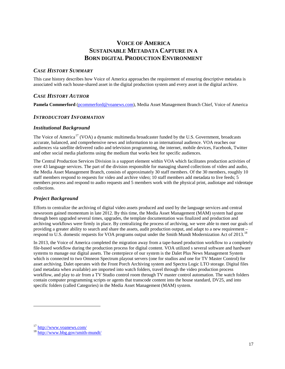# **VOICE OF AMERICA SUSTAINABLE METADATA CAPTURE IN A BORN DIGITAL PRODUCTION ENVIRONMENT**

# <span id="page-16-0"></span>*CASE HISTORY SUMMARY*

This case history describes how Voice of America approaches the requirement of ensuring descriptive metadata is associated with each house-shared asset in the digital production system and every asset in the digital archive.

# *CASE HISTORY AUTHOR*

**Pamela Commerford** [\(pcommerford@voanews.com\)](mailto:pcommerford@voanews.com), Media Asset Management Branch Chief, Voice of America

#### *INTRODUCTORY INFORMATION*

#### *Institutional Background*

The Voice of America<sup>[17](#page-16-1)</sup> (VOA) a dynamic multimedia broadcaster funded by the U.S. Government, broadcasts accurate, balanced, and comprehensive news and information to an international audience. VOA reaches our audiences via satellite delivered radio and television programming, the internet, mobile devices, Facebook, Twitter and other social media platforms using the medium that works best for specific audiences.

The Central Production Services Division is a support element within VOA which facilitates production activities of over 43 language services. The part of the division responsible for managing shared collections of video and audio, the Media Asset Management Branch, consists of approximately 30 staff members. Of the 30 members, roughly 10 staff members respond to requests for video and archive video; 10 staff members add metadata to live feeds; 5 members process and respond to audio requests and 5 members work with the physical print, audiotape and videotape collections.

#### *Project Background*

Efforts to centralize the archiving of digital video assets produced and used by the language services and central newsroom gained momentum in late 2012. By this time, the Media Asset Management (MAM) system had gone through been upgraded several times, upgrades, the template documentation was finalized and production and archiving workflows were firmly in place. By centralizing the process of archiving, we were able to meet our goals of providing a greater ability to search and share the assets, audit production output, and adapt to a new requirement – respond to U.S. domestic requests for VOA programs output under the Smith Mundt Modernization Act of 2013.<sup>[18](#page-16-2)</sup>

In 2013, the Voice of America completed the migration away from a tape-based production workflow to a completely file-based workflow during the production process for digital content. VOA utilized s several software and hardware systems to manage our digital assets. The centerpiece of our system is the Dalet Plus News Management System which is connected to two Omneon Spectrum playout servers (one for studios and one for TV Master Control) for asset archiving. Dalet operates with the Front Porch Archiving system and Spectra Logic LTO storage. Digital files (and metadata when available) are imported into watch folders, travel through the video production process workflow, and play to air from a TV Studio control room through TV master control automation. The watch folders contain computer programming scripts or agents that transcode content into the house standard, DV25, and into specific folders (called Categories) in the Media Asset Management (MAM) system.

<span id="page-16-2"></span><span id="page-16-1"></span> $\frac{17}{18}$  <http://www.voanews.com/><br> $\frac{18}{18}$  <http://www.bbg.gov/smith-mundt/>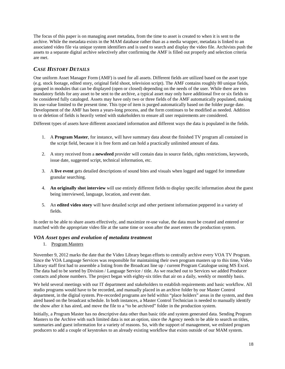The focus of this paper is on managing asset metadata, from the time to asset is created to when it is sent to the archive. While the metadata exists in the MAM database rather than as a media wrapper, metadata is linked to an associated video file via unique system identifiers and is used to search and display the video file. Archivists push the assets to a separate digital archive selectively after confirming the AMF is filled out properly and selection criteria are met.

# *CASE HISTORY DETAILS*

One uniform Asset Manager Form (AMF) is used for all assets. Different fields are utilized based on the asset type (e.g. stock footage, edited story, original field shoot, television script). The AMF contains roughly 80 unique fields, grouped in modules that can be displayed (open or closed) depending on the needs of the user. While there are ten mandatory fields for any asset to be sent to the archive, a typical asset may only have additional five or six fields to be considered fully cataloged. Assets may have only two or three fields of the AMF automatically populated, making its use-value limited to the present time. This type of item is purged automatically based on the folder purge date. Development of the AMF has been a years-long process, and the form continues to be modified as needed. Addition to or deletion of fields is heavily vetted with stakeholders to ensure all user requirements are considered.

Different types of assets have different associated information and different ways the data is populated in the fields.

- 1. A **Program Master**, for instance, will have summary data about the finished TV program all contained in the script field, because it is free form and can hold a practically unlimited amount of data.
- 2. A story received from a **newsfeed** provider will contain data in source fields, rights restrictions, keywords, issue date, suggested script, technical information, etc.
- 3. A **live event** gets detailed descriptions of sound bites and visuals when logged and tagged for immediate granular searching.
- 4. **An originally shot interview** will use entirely different fields to display specific information about the guest being interviewed, language, location, and event date.
- 5. An **edited video story** will have detailed script and other pertinent information peppered in a variety of fields.

In order to be able to share assets effectively, and maximize re-use value, the data must be created and entered or matched with the appropriate video file at the same time or soon after the asset enters the production system.

#### *VOA Asset types and evolution of metadata treatment*

1. Program Masters

November 9, 2012 marks the date that the Video Library began efforts to centrally archive every VOA TV Program. Since the VOA Language Services was responsible for maintaining their own program masters up to this time, Video Library staff first had to assemble a listing from the Broadcast line up / current Program Catalogue using MS Excel. The data had to be sorted by Division / Language Service / title. As we reached out to Services we added Producer contacts and phone numbers. The project began with eighty-six titles that air on a daily, weekly or monthly basis.

We held several meetings with our IT department and stakeholders to establish requirements and basic workflow. All studio programs would have to be recorded, and manually placed in an archive folder by our Master Control department, in the digital system. Pre-recorded programs are held within "place holders" areas in the system, and then aired based on the broadcast schedule. In both instances, a Master Control Technician is needed to manually identify the show after it has aired, and move the file to a "to be archived" folder in the production system.

Initially, a Program Master has no descriptive data other than basic title and system generated data. Sending Program Masters to the Archive with such limited data is not an option, since the Agency needs to be able to search on titles, summaries and guest information for a variety of reasons. So, with the support of management, we enlisted program producers to add a couple of keystrokes to an already existing workflow that exists outside of our MAM system.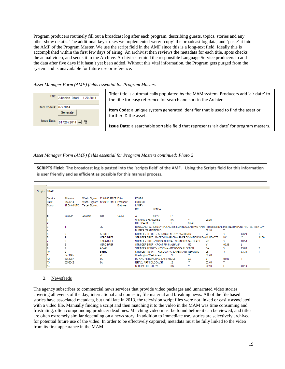Program producers routinely fill out a broadcast log after each program, describing guests, topics, stories and any other show details. The additional keystrokes we implemented were: 'copy' the broadcast log data, and 'paste' it into the AMF of the Program Master. We use the script field in the AMF since this is a long-text field. Ideally this is accomplished within the first few days of airing. An archivist then reviews the metadata for each title, spots checks the actual video, and sends it to the Archive. Archivists remind the responsible Language Service producers to add the data after five days if it hasn't yet been added. Without this vital information, the Program gets purged from the system and is unavailable for future use or reference.

#### *Asset Manager Form (AMF) fields essential for Program Masters*



**Title**: title is automatically populated by the MAM system. Producers add 'air date' to the title for easy reference for search and sort in the Archive. **Item Code**: a unique system generated identifier that is used to find the asset or further ID the asset.

**Issue Date**: a searchable sortable field that represents 'air date' for program masters.

*Asset Manager Form (AMF) fields essential for Program Masters continued: Photo 2*

SCRIPTS Field: The broadcast log is pasted into the 'scripts field' of the AMF. Using the Scripts field for this information is user friendly and as efficient as possible for this manual process.

| Scripts: DITARI              |                                      |                |                                                                                 |           |                                         |                                      |                                                                                                      |       |           |              |       |       |
|------------------------------|--------------------------------------|----------------|---------------------------------------------------------------------------------|-----------|-----------------------------------------|--------------------------------------|------------------------------------------------------------------------------------------------------|-------|-----------|--------------|-------|-------|
| Service:<br>Date:<br>Signon: | Albanian<br>01/20/14<br>17:00:00 UTC | Target Signon: | Wash. Signon: 12:00:00 PM ET Editor:<br>Wash, Signoff: 12:29:15 PM ET Producer: | Engineer: | <b>KONDA</b><br>LULUSHI<br>LARRY<br>MC: | <b>KONDA</b>                         |                                                                                                      |       |           |              |       |       |
|                              | Number                               | Adaptor        | Title                                                                           | Voice     | A                                       | Min:SC                               | LЛ                                                                                                   |       |           |              |       |       |
|                              |                                      |                |                                                                                 |           | <b>OPENING &amp; HEADLINES</b>          |                                      | MC.                                                                                                  | v     | 00:35     |              |       |       |
|                              |                                      |                |                                                                                 |           | <b>BILLBOARD</b>                        | MС                                   | v                                                                                                    | 00:45 |           |              |       |       |
|                              |                                      |                | LК                                                                              |           |                                         |                                      | NEWSCAST 6773269 SYRIA 6773185 IRAN NUCLEAR PKG APTN - EU MINISERIAL MEETING UKRAINE PROTEST MLK DAY |       |           |              |       |       |
|                              |                                      |                |                                                                                 |           | <b>BUMPER: TRANSITION ID</b>            |                                      |                                                                                                      |       | 00:10     |              |       |       |
|                              | 9                                    |                | <b>AGOLLI</b>                                                                   |           |                                         |                                      | STRINGER REPORT - ALBANIA ENERGY PAYMENTS                                                            |       | IA        |              | 03:20 |       |
|                              | 9                                    |                | <b>MERO-BRIEF</b>                                                               |           |                                         |                                      | STRINGER BRIEF - MACEDONIA RADIKA RIVER DEVIATION/ALBANIA REACTS                                     |       |           | МC           | Y     | 01:00 |
|                              | 9                                    |                | KOLA-BRIEF                                                                      |           |                                         |                                      | STRINGER BRIEF - VLORA OFFICIAL WOUNDED/ CAR BLAST                                                   |       | MC.       | v            | 00:50 |       |
|                              | 9                                    |                | <b>MERO-BRIEF</b>                                                               |           |                                         | STRINGER BRIEF - CROAT PM IN ALBANIA |                                                                                                      | MC.   | Υ         | 00:45        | L     |       |
|                              | 9                                    |                | <b>ABAZI</b>                                                                    |           |                                         |                                      | STRINGER REPORT - KOSOVA - MITROVICA ELECTION                                                        |       | <b>BA</b> | v            | 03:00 |       |
|                              | 9                                    |                | <b>SHEHU</b>                                                                    |           |                                         |                                      | STRINGER REPORT - KOSOVA PARLAMENTARY REFORMS                                                        |       | LS        | $\checkmark$ | 03:30 |       |
|                              | 6771465                              |                | ΖE                                                                              |           | Washington Week Ahead                   |                                      | ΖE                                                                                                   |       | 02:40     |              |       |       |
| 12                           | 6753087                              |                | <b>JA</b>                                                                       |           |                                         | ML KING / BIRMINGHAM SAFE HOUSE      |                                                                                                      | JA.   | ٧         | 03:10        | т     |       |
| 13                           | 6698642                              |                | JA                                                                              |           | <b>ISRAEL ART HOLOCAUST</b>             |                                      | JZ                                                                                                   | v     | 03:40     |              |       |       |
| 14                           |                                      |                |                                                                                 |           | <b>CLOSING THE SHOW</b>                 |                                      | MС                                                                                                   | v     | 00:10     |              | 00:10 |       |

#### 2. Newsfeeds

The agency subscribes to commercial news services that provide video packages and unnarrated video stories covering all events of the day, international and domestic, file material and breaking news. All of the file based stories have associated metadata, but until late in 2013, the television script files were not linked or easily associated with a video file. Manually finding a script and then matching it to the video in the MAM was time consuming and frustrating, often compounding producer deadlines. Matching video must be found before it can be viewed, and titles are often extremely similar depending on a news story. In addition to immediate use, stories are selectively archived for potential future use of the video. In order to be effectively captured; metadata must be fully linked to the video from its first appearance in the MAM.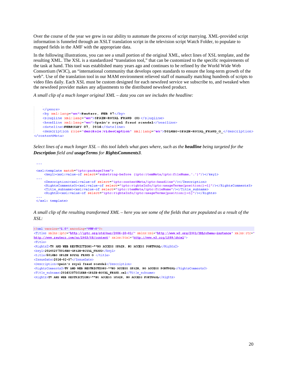Over the course of the year we grew in our ability to automate the process of script marrying. XML-provided script information is funneled through an XSLT translation script in the television script Watch Folder, to populate to mapped fields in the AMF with the appropriate data.

In the following illustrations, you can see a small portion of the original XML, select lines of XSL template, and the resulting XML. The XSL is a standardized "translation tool," that can be customized to the specific requirements of the task at hand. This tool was established many years ago and continues to be refined by the World Wide Web Consortium (W3C), an "international community that develops open standards to ensure the long-term growth of the web". Use of the translation tool in our MAM environment relieved staff of manually matching hundreds of scripts to video files daily. Each XSL must be custom designed for each newsfeed service we subscribe to, and tweaked when the newsfeed provider makes any adjustments to the distributed newsfeed product.

*A small clip of a much longer original XML – data you can see includes the headline:*

```
</denre>
   <br />
xml:lang="en">Reuters, FEB 07</by>
    <slugline xml:lang="en">SPAIN-ROYAL FRAUD (0)</slugline>
   <headline xml:lang="en">Spain's royal fraud scandal</headline>
   <dateline>FEBRUARY 07, 2014</dateline>
    <description role="descRole:videoCaption" xml:lang="en">5014BO-SPAIN-ROYAL_FRAUD_O_</description>
</contentMeta>
```
*Select lines of a much longer XSL – this tool labels what goes where, such as the headline being targeted for the Description field and usageTerms for RightsComments3.* 

```
\sim \sim<xsl:template match="iptc:packageItem">
    <key1><xs1:value-of select="substring-before (iptc:itemMeta/iptc:fileName,'.')"/></key1>
    <Description><xs1:value-of select="iptc:contentMeta/iptc:headline"/></Description>
    <RightsComments3><xs1:value-of select="iptc:rightsInfo/iptc:usageTerms[position()=1]"/></RightsComments3>
    <Title_subname><xs1:value-of_select="iptc:itemMeta/iptc:fileName"/></Title_subname>
    <Rights><xsl:value-of select="iptc:rightsInfo/iptc:usageTerms[position()=1]"/></Rights>
</xsl: template>
```

```
A small clip of the resulting transformed XML – here you see some of the fields that are populated as a result of the 
XSL:
```

```
<?xml version="1.0" encoding="UTF-8"?>
<Titles xmlns:iptc="http://iptc.org/std/nar/2006-10-01/" xmlns:xsi="http://www.w3.org/2001/XMLSchema-instance" xmlns:rtr="
http://www.reuters.com/ns/2003/08/content" xmlns:html="http://www.w3.org/1999/xhtml">
<Title>
<Rights2>TV AND WEB RESTRICTIONS~**NO ACCESS SPAIN, NO ACCESS PORTUGAL</Rights2>
<key1>201402075014BR-SPAIN-ROYAL_FRAUD</key1>
<title>5014BO SPAIN ROYAL FRAUD O </title>
<IssueDate>2014-02-07</IssueDate>
<Description>Spain's royal fraud scandal</Description>
<RightsComments3>TV AND WEB RESTRICTIONS~**NO ACCESS SPAIN, NO ACCESS PORTUGAL</RightsComments3>
<Title subname>201402075014BR-SPAIN-ROYAL_FRAUD.xml</Title subname>
<Rights>TV AND WEB RESTRICTIONS~**NO ACCESS SPAIN, NO ACCESS PORTUGAL</Rights>
```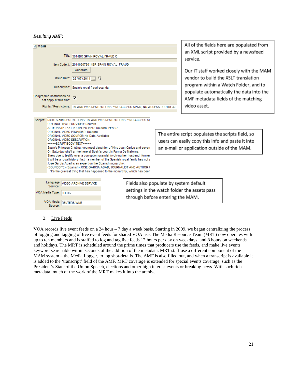*Resulting AMF:*

| 굌 Main                                                |                                                                                                                                                                                                                                                                                                |                                        | All of the fields                            |
|-------------------------------------------------------|------------------------------------------------------------------------------------------------------------------------------------------------------------------------------------------------------------------------------------------------------------------------------------------------|----------------------------------------|----------------------------------------------|
|                                                       | Title: 5014BO SPAIN ROYAL FRAUD O                                                                                                                                                                                                                                                              |                                        | an XML script p<br>service.                  |
|                                                       | Item Code #: 201402075014BR-SPAIN-ROYAL FRAUD                                                                                                                                                                                                                                                  |                                        |                                              |
|                                                       | Generate<br>Issue Date: 02/07/2014<br>鬧                                                                                                                                                                                                                                                        |                                        | Our IT staff wo<br>vendor to build           |
|                                                       |                                                                                                                                                                                                                                                                                                |                                        |                                              |
|                                                       | Description: Spain's royal fraud scandal                                                                                                                                                                                                                                                       |                                        | program withir                               |
| Geographic Restrictions do<br>not apply at this time: |                                                                                                                                                                                                                                                                                                |                                        | populate autor<br>AMF metadata               |
|                                                       | Rights / Restrictions: TV AND WEB RESTRICTIONS~**NO ACCESS SPAIN, NO ACCESS PORTUGAL                                                                                                                                                                                                           |                                        | video asset.                                 |
|                                                       |                                                                                                                                                                                                                                                                                                |                                        |                                              |
| Scripts:                                              | RIGHTS and RESTRICTIONS: TV AND WEB RESTRICTIONS~**NO ACCESS SF<br><b>ORIGINAL TEXT PROVIDER: Reuters</b><br>ALTERNATE TEXT PROVIDER INFO: Reuters, FEB 07                                                                                                                                     |                                        |                                              |
|                                                       | <b>ORIGINAL VIDEO PROVIDER: Reuters</b><br>ORIGINAL VIDEO SOURCE: No-Data-Available                                                                                                                                                                                                            |                                        | The entire script populates                  |
| ORIGINAL VIDEO DESCRIPTION:                           |                                                                                                                                                                                                                                                                                                |                                        | users can easily copy this in                |
| =====SCRIPT BODY TEXT=====                            | Spain's Princess Cristina, youngest daughter of King Juan Carlos and seven                                                                                                                                                                                                                     |                                        | an e-mail or application out                 |
|                                                       | On Saturday she'll arrive here at Spain's court in Parma De Mallorca.                                                                                                                                                                                                                          |                                        |                                              |
|                                                       | She's due to testify over a corruption scandal involving her husband, former<br>It will be a royal history first - a member of the Spanish royal family has not a<br>Jose Garcia Abad is an expert on the Spanish monarchy.<br>(SOUNDBITE) (Spanish) JOSE GARCIA ABAD, JOURNALIST AND AUTHOR ( |                                        |                                              |
|                                                       | "It's the gravest thing that has happened to the monarchy, which has been                                                                                                                                                                                                                      |                                        |                                              |
|                                                       |                                                                                                                                                                                                                                                                                                |                                        |                                              |
| Language<br>Service:                                  | VIDEO ARCHIVE SERVICE                                                                                                                                                                                                                                                                          | Fields also populate by system default |                                              |
| VOA Media Type: FEEDS                                 |                                                                                                                                                                                                                                                                                                | through before entering the MAM.       | settings in the watch folder the assets pass |
| VOA Media REUTERS WNE<br>Source:                      |                                                                                                                                                                                                                                                                                                |                                        |                                              |

of the fields here are populated from XML script provided by a newsfeed /ice.

IT staff worked closely with the MAM dor to build the XSLT translation gram within a Watch Folder, and to ulate automatically the data into the F metadata fields of the matching eo asset.

populates the scripts field, so copy this info and paste it into lication outside of the MAM.

#### 3. Live Feeds

VOA records live event feeds on a 24 hour – 7 day a week basis. Starting in 2009, we began centralizing the process of logging and tagging of live event feeds for shared VOA use. The Media Resource Team (MRT) now operates with up to ten members and is staffed to log and tag live feeds 12 hours per day on weekdays, and 8 hours on weekends and holidays. The MRT is scheduled around the prime times that producers use the feeds, and make live events keyword searchable within seconds of the addition of the metadata. MRT staff use a different component of the MAM system – the Media Logger, to log shot-details. The AMF is also filled out, and when a transcript is available it is added to the 'transcript' field of the AMF. MRT coverage is extended for special events coverage, such as the President's State of the Union Speech, elections and other high interest events or breaking news. With such rich metadata, much of the work of the MRT makes it into the archive.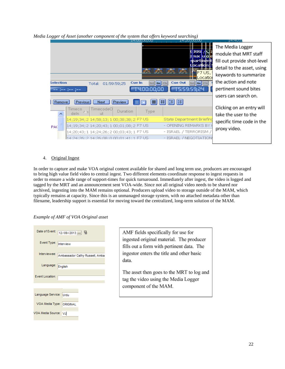*Media Logger of Asset (another component of the system that offers keyword searching)*

|                                                   | 14:00(00)00                 | 14:20:00;00               | 14:40:0                     |
|---------------------------------------------------|-----------------------------|---------------------------|-----------------------------|
|                                                   |                             |                           | The Media Logger            |
|                                                   |                             | <b>IRR</b>                | module that MRT staff       |
|                                                   |                             | nam                       | fill out provide shot-level |
|                                                   |                             | Incati                    | detail to the asset, using  |
|                                                   |                             | F7 US.<br>Locatiol        | keywords to summarize       |
| Selection<br>01:59:59;25<br>Total:                | <b>Cue In</b><br>$ G_0  C $ | <b>Cue Out</b><br> Go  C  | the action and note         |
| 144 144 144                                       | nn nn nn                    |                           | pertinent sound bites       |
|                                                   |                             |                           | users can search on.        |
| Previous<br>Preview<br>Next<br>Remove             | 88<br>昌                     | I≢∃I<br>眲                 |                             |
| TimecodeOl<br>Timecol<br>Duration                 | Type                        |                           | Clicking on an entry will   |
| $\Delta$ 1<br>deln.<br>ШŤ                         |                             |                           | take the user to the        |
| 14;19;34; 2 14;58;13; 1 00;38;38; 2 F7 US         |                             | State Department Briefind | specific time code in the   |
| 14;19;34; 2 14;20;43; 1 00;01;08; 2 F7 US.<br>PAC |                             | OPENING REMARKS BY H      |                             |
| 14;20;43; 1 14;24;26; 2 00;03;43; 1 F7 US         |                             | - ISRAEL / TERRORISM /    | proxy video.                |
| 114:24:26: 2 14:26:08: 0 00:01:41: 1 FZ US        |                             | - ISRAEL / NEGOTIATION!   |                             |

#### 4. Original Ingest

In order to capture and make VOA original content available for shared and long term use, producers are encouraged to bring high value field video to central ingest. Two different elements coordinate response to ingest requests in order to ensure a wide range of support-times for quick turnaround. Immediately after ingest, the video is logged and tagged by the MRT and an announcement sent VOA-wide. Since not all original video needs to be shared nor archived, ingesting into the MAM remains optional. Producers upload video to storage outside of the MAM, which typically remains at capacity. Since this is an unmanaged storage system, with no attached metadata other than filename, leadership support is essential for moving toward the centralized, long-term solution of the MAM.

*Example of AMF of VOA Original asset* 

| Date of Event:           | 12/09/2013 … 법                 |
|--------------------------|--------------------------------|
| Event Type:              | Interview                      |
| Interviewee:             | Ambassador Cathy Russell, Amba |
| Language:                | English                        |
| Event Location:          |                                |
|                          |                                |
| Language Service: Urdu   |                                |
| VOA Media Type: ORIGINAL |                                |
| VOA Media Source: VJ     |                                |

AMF fields specifically for use for ingested original material. The producer fills out a form with pertinent data. The ingestor enters the title and other basic data.

The asset then goes to the MRT to log and tag the video using the Media Logger component of the MAM.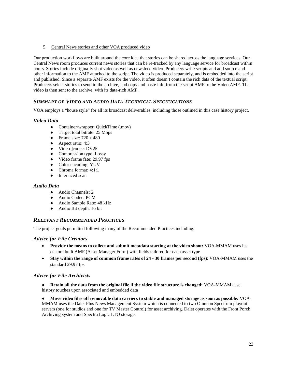5. Central News stories and other VOA produced video

Our production workflows are built around the core idea that stories can be shared across the language services. Our Central News room produces current news stories that can be re-tracked by any language service for broadcast within hours. Stories include originally shot video as well as newsfeed video. Producers write scripts and add source and other information to the AMF attached to the script. The video is produced separately, and is embedded into the script and published. Since a separate AMF exists for the video, it often doesn't contain the rich data of the textual script. Producers select stories to send to the archive, and copy and paste info from the script AMF to the Video AMF. The video is then sent to the archive, with its data-rich AMF.

# *SUMMARY OF VIDEO AND AUDIO DATA TECHNICAL SPECIFICATIONS*

VOA employs a "house style" for all its broadcast deliverables, including those outlined in this case history project.

#### *Video Data*

- Container/wrapper: QuickTime (.mov)
- Target total bitrate: 25 Mbps
- Frame size:  $720 \times 480$
- Aspect ratio: 4:3
- Video ]codec: DV25
- Compression type: Lossy
- Video frame fate: 29.97 fps
- Color encoding: YUV
- Chroma format: 4:1:1
- Interlaced scan

#### *Audio Data*

- Audio Channels: 2
- Audio Codec: PCM
- Audio Sample Rate: 48 kHz
- Audio Bit depth: 16 bit

#### *RELEVANT RECOMMENDED PRACTICES*

The project goals permitted following many of the Recommended Practices including:

#### *Advice for File Creators*

- **Provide the means to collect and submit metadata starting at the video shoot:** VOA-MMAM uses its custom built AMF (Asset Manager Form) with fields tailored for each asset type
- **Stay within the range of common frame rates of 24 - 30 frames per second (fps**): VOA-MMAM uses the standard 29.97 fps

#### *Advice for File Archivists*

● **Retain all the data from the original file if the video file structure is changed:** VOA-MMAM case history touches upon associated and embedded data

● **Move video files off removable data carriers to stable and managed storage as soon as possible:** VOA-MMAM uses the Dalet Plus News Management System which is connected to two Omneon Spectrum playout servers (one for studios and one for TV Master Control) for asset archiving. Dalet operates with the Front Porch Archiving system and Spectra Logic LTO storage.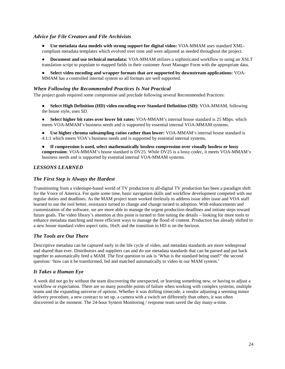#### *Advice for File Creators and File Archivists*

- **Use metadata data models with strong support for digital video:** VOA-MMAM uses standard XMLcompliant metadata templates which evolved over time and were adjusted as needed throughout the project.
- **Document and use technical metadata:** VOA-MMAM utilizes a sophisticated workflow to using an XSLT translation script to populate to mapped fields in their customer Asset Manager Form with the appropriate data.
- **Select video encoding and wrapper formats that are supported by downstream applications:** VOA-MMAM has a controlled internal system so all formats are well supported.

#### *When Following the Recommended Practices Is Not Practical*

The project goals required some compromise and preclude following several Recommended Practices:

- **Select High Definition (HD) video encoding over Standard Definition (SD): VOA-MMAM, following** the house style, uses SD.
- **Select higher bit rates over lower bit rates:** VOA-MMAM's internal house standard is 25 Mbps. which meets VOA-MMAM's business needs and is supported by essential internal VOA-MMAM systems.
- **Use higher chroma subsampling ratios rather than lower:** VOA-MMAM's internal house standard is 4:1:1 which meets VOA's business needs and is supported by essential internal systems.
- **If compression is used, select mathematically lossless compression over visually lossless or lossy compression**: VOA-MMAM's house standard is DV25. While DV25 is a lossy codec, it meets VOA-MMAM's business needs and is supported by essential internal VOA-MMAM systems.

#### *LESSONS LEARNED*

#### *The First Step is Always the Hardest*

Transitioning from a videotape-based world of TV production to all-digital TV production has been a paradigm shift for the Voice of America. For quite some time, basic navigation skills and workflow development competed with our regular duties and deadlines. As the MAM project team worked tirelessly to address issue after issue and VOA staff learned to use the tool better, resistance turned to change and change turned to adoption. With enhancements and customization of the software, we are more able to manage the urgent production deadlines and initiate steps toward future goals. The video library's attention at this point is turned to fine tuning the details – looking for more tools to enhance metadata matching and more efficient ways to manage the flood of content. Production has already shifted to a new house standard video aspect ratio, 16x9; and the transition to HD is on the horizon.

#### *The Tools are Out There*

Descriptive metadata can be captured early in the life cycle of video, and metadata standards are more widespread and shared than ever. Distributors and suppliers can and do use metadata standards that can be parsed and put back together to automatically feed a MAM. The first question to ask is 'What is the standard being used?' the second question: 'how can it be transformed, fed and matched automatically to video in our MAM system.'

#### *It Takes a Human Eye*

A week did not go by without the team discovering the unexpected, or learning something new, or having to adjust a workflow or expectation. There are so many possible points of failure when working with complex systems, multiple teams and the expanding universe of options. Whether it was drifting timecode, a vendor adjusting a seeming minor delivery procedure, a new contract to set up, a camera with a switch set differently than others, it was often discovered in the moment. The 24-hour System Monitoring / response team saved the day many-a-time.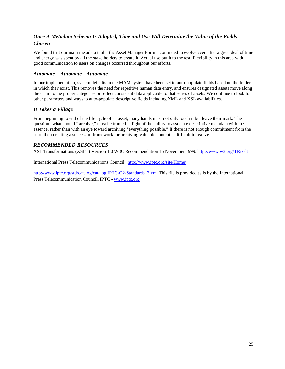# *Once A Metadata Schema Is Adopted, Time and Use Will Determine the Value of the Fields Chosen*

We found that our main metadata tool – the Asset Manager Form – continued to evolve even after a great deal of time and energy was spent by all the stake holders to create it. Actual use put it to the test. Flexibility in this area with good communication to users on changes occurred throughout our efforts.

#### *Automate – Automate - Automate*

In our implementation, system defaults in the MAM system have been set to auto-populate fields based on the folder in which they exist. This removes the need for repetitive human data entry, and ensures designated assets move along the chain to the proper categories or reflect consistent data applicable to that series of assets. We continue to look for other parameters and ways to auto-populate descriptive fields including XML and XSL availabilities.

#### *It Takes a Village*

From beginning to end of the life cycle of an asset, many hands must not only touch it but leave their mark. The question "what should I archive," must be framed in light of the ability to associate descriptive metadata with the essence, rather than with an eye toward archiving "everything possible." If there is not enough commitment from the start, then creating a successful framework for archiving valuable content is difficult to realize.

# *RECOMMENDED RESOURCES*

XSL Transformations (XSLT) Version 1.0 W3C Recommendation 16 November 1999. <http://www.w3.org/TR/xslt>

International Press Telecommunications Council. <http://www.iptc.org/site/Home/>

[http://www.iptc.org/std/catalog/catalog.IPTC-G2-Standards\\_3.xml](http://www.iptc.org/std/catalog/catalog.IPTC-G2-Standards_3.xml) This file is provided as is by the International Press Telecommunication Council, IPTC - [www.iptc.org](http://www.iptc.org/)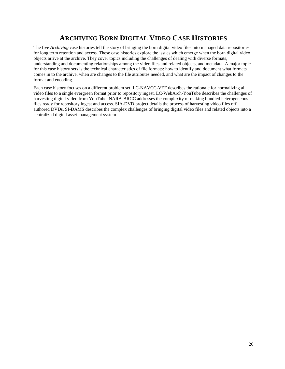# **ARCHIVING BORN DIGITAL VIDEO CASE HISTORIES**

<span id="page-25-0"></span>The five *Archiving* case histories tell the story of bringing the born digital video files into managed data repositories for long term retention and access. These case histories explore the issues which emerge when the born digital video objects arrive at the archive. They cover topics including the challenges of dealing with diverse formats, understanding and documenting relationships among the video files and related objects, and metadata. A major topic for this case history sets is the technical characteristics of file formats: how to identify and document what formats comes in to the archive, when are changes to the file attributes needed, and what are the impact of changes to the format and encoding.

Each case history focuses on a different problem set. LC-NAVCC-VEF describes the rationale for normalizing all video files to a single evergreen format prior to repository ingest. LC-WebArch-YouTube describes the challenges of harvesting digital video from YouTube. NARA-BRCC addresses the complexity of making bundled heterogeneous files ready for repository ingest and access. SIA-DVD project details the process of harvesting video files off authored DVDs. SI-DAMS describes the complex challenges of bringing digital video files and related objects into a centralized digital asset management system.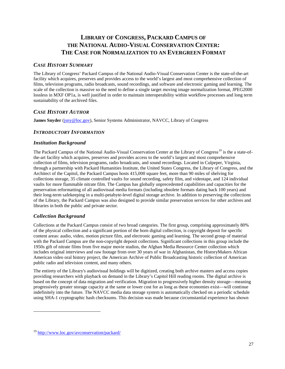# <span id="page-26-0"></span>**LIBRARY OF CONGRESS, PACKARD CAMPUS OF THE NATIONAL AUDIO-VISUAL CONSERVATION CENTER: THE CASE FOR NORMALIZATION TO AN EVERGREEN FORMAT**

# *CASE HISTORY SUMMARY*

The Library of Congress' Packard Campus of the National Audio-Visual Conservation Center is the state-of-the-art facility which acquires, preserves and provides access to the world's largest and most comprehensive collection of films, television programs, radio broadcasts, sound recordings, and software and electronic gaming and learning. The scale of the collection is massive so the need to define a single target moving image normalization format, JPEG2000 lossless in MXF OP1a, is well justified in order to maintain interoperability within workflow processes and long term sustainability of the archived files.

# *CASE HISTORY AUTHOR*

**James Snyder** [\(jsny@loc.gov\)](mailto:jsny@loc.gov), Senior Systems Administrator, NAVCC, Library of Congress

# *INTRODUCTORY INFORMATION*

#### *Institution Background*

The Packard Campus of the National Audio-Visual Conservation Center at the Library of Congress<sup>[19](#page-26-1)</sup> is the a state-ofthe-art facility which acquires, preserves and provides access to the world's largest and most comprehensive collection of films, television programs, radio broadcasts, and sound recordings. Located in Culpeper, Virginia, through a partnership with Packard Humanities Institute, the United States Congress, the Library of Congress, and the Architect of the Capitol, the Packard Campus hosts 415,000 square feet, more than 90 miles of shelving for collections storage, 35 climate controlled vaults for sound recording, safety film, and videotape, and 124 individual vaults for more flammable nitrate film. The Campus has globally unprecedented capabilities and capacities for the preservation reformatting of all audiovisual media formats (including obsolete formats dating back 100 years) and their long-term safekeeping in a multi-petabyte-level digital storage archive. In addition to preserving the collections of the Library, the Packard Campus was also designed to provide similar preservation services for other archives and libraries in both the public and private sector.

#### *Collection Background*

 $\overline{a}$ 

Collections at the Packard Campus consist of two broad categories. The first group, comprising approximately 80% of the physical collection and a significant portion of the born digital collection, is copyright deposit for specific content areas: audio, video, motion picture film, and electronic gaming and learning. The second group of material with the Packard Campus are the non-copyright deposit collections. Significant collections in this group include the 1950s gift of nitrate films from five major movie studios, the Afghan Media Resource Center collection which includes original interviews and raw footage from over 30 years of war in Afghanistan, the [HistoryMakers](http://www.thehistorymakers.com/) African American video oral history project, the American [Archive of Public Broadcasting](http://www.loc.gov/today/pr/2013/13-203.html) historic collection of American public radio and television content, and many others.

The entirety of the Library's audiovisual holdings will be digitized, creating both archive masters and access copies providing researchers with playback on demand in the Library's Capitol Hill reading rooms. The digital archive is based on the concept of data migration and verification. Migration to progressively higher density storage—meaning progressively greater storage capacity at the same or lower cost for as long as these economies exist—will continue indefinitely into the future. The NAVCC media data storage system is automatically checked on a periodic schedule using SHA-1 cryptographic hash checksums. This decision was made because circumstantial experience has shown

<span id="page-26-1"></span><sup>&</sup>lt;sup>19</sup> <http://www.loc.gov/avconservation/packard/>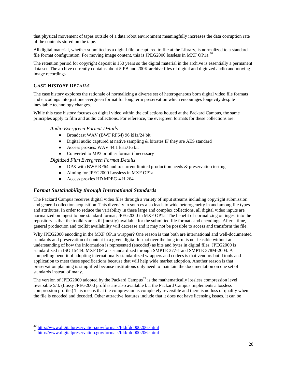that physical movement of tapes outside of a data robot environment meaningfully increases the data corruption rate of the contents stored on the tape.

All digital material, whether submitted as a digital file or captured to file at the Library, is normalized to a standard file format configuration. For moving image content, this is JPEG[20](#page-27-0)00 lossless in MXF OP1a.<sup>20</sup>

The retention period for copyright deposit is 150 years so the digital material in the archive is essentially a permanent data set. The archive currently contains about 5 PB and 200K archive files of digital and digitized audio and moving image recordings.

# *CASE HISTORY DETAILS*

The case history explores the rationale of normalizing a diverse set of heterogeneous born digital video file formats and encodings into just one evergreen format for long term preservation which encourages longevity despite inevitable technology changes.

While this case history focuses on digital video within the collections housed at the Packard Campus, the same principles apply to film and audio collections. For reference, the evergreen formats for these collections are:

#### *Audio Evergreen Format Details*

- Broadcast WAV (BWF RF64) 96 kHz/24 bit
- Digital audio captured at native sampling & bitrates IF they are AES standard
- Access proxies: WAV 44.1 kHz/16 bit
- Converted to MP3 or other format if necessary

*Digitized Film Evergreen Format Details*

- DPX with BWF RF64 audio: current limited production needs & preservation testing
- Aiming for JPEG2000 Lossless in MXF OP1a
- Access proxies HD MPEG-4 H.264

#### *Format Sustainability through International Standards*

The Packard Campus receives digital video files through a variety of input streams including copyright submission and general collection acquisition. This diversity in sources also leads to wide heterogeneity in and among file types and attributes. In order to reduce the variability in these large and complex collections, all digital video inputs are normalized on ingest to one standard format, JPEG2000 in MXF OP1a. The benefit of normalizing on ingest into the repository is that the toolkits are still (mostly) available for the submitted file formats and encodings. After a time, general production and toolkit availability will decrease and it may not be possible to access and transform the file.

Why JPEG2000 encoding in the MXF OP1a wrapper? One reason is that both are international and well-documented standards and preservation of content in a given digital format over the long term is not feasible without an understanding of how the information is represented (encoded) as bits and bytes in digital files. JPEG2000 is standardized in ISO 15444. [MXF OP1a](http://www.digitalpreservation.gov/formats/fdd/fdd000266.shtml) is standardized through SMPTE 377-1 and SMPTE 378M-2004. A compelling benefit of adopting internationally standardized wrappers and codecs is that vendors build tools and application to meet these specifications because that will help wide market adoption. Another reason is that preservation planning is simplified because institutions only need to maintain the documentation on one set of standards instead of many.

The version of JPEG2000 adopted by the Packard Campus<sup>[21](#page-27-1)</sup> is the mathematically lossless compression level reversible 5/3. (Lossy JPEG2000 profiles are also available but the Packard Campus implements a lossless compression profile.) This means that the compression is completely reversible and there is no loss of quality when the file is encoded and decoded. Other attractive features include that it does not have licensing issues, it can be

<span id="page-27-0"></span> $^{20}$  <http://www.digitalpreservation.gov/formats/fdd/fdd000206.shtml>  $^{21}$  http://www.digitalpreservation.gov/formats/fdd/fdd000206.shtml

<span id="page-27-1"></span>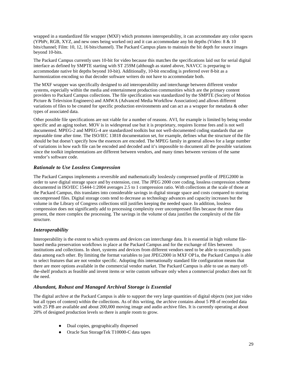wrapped in a standardized file wrapper (MXF) which promotes interoperability, it can accommodate any color spaces (YPbPr, RGB, XYZ, and new ones being worked on) and it can accommodate any bit depths (Video: 8 & 10 bits/channel; Film: 10, 12, 16 bits/channel). The Packard Campus plans to maintain the bit depth for source images beyond 10-bits.

The Packard Campus currently uses 10-bit for video because this matches the specifications laid out for serial digital interface as defined by SMPTE starting with ST 259M (although as stated above, NAVCC is preparing to accommodate native bit depths beyond 10-bit). Additionally, 10-bit encoding is preferred over 8-bit as a harmonization encoding so that decoder software writers do not have to accommodate both.

The MXF wrapper was specifically designed to aid interoperability and interchange between different vendor systems, especially within the media and entertainment production communities which are the primary content providers to Packard Campus collections. The file specification was standardized by the SMPTE (Society of Motion Picture & Television Engineers) and AMWA (Advanced Media Workflow Association) and allows different variations of files to be created for specific production environments and can act as a wrapper for metadata & other types of associated data.

Other possible file specifications are not viable for a number of reasons. AVI, for example is limited by being vendor specific and an aging toolset. MOV is in widespread use but it is proprietary, requires license fees and is not well documented. MPEG-2 and MPEG-4 are standardized toolkits but not well-documented coding standards that are repeatable time after time. The ISO/IEC 13818 documentation set, for example, defines what the structure of the file should be but doesn't specify how the essences are encoded. The MPEG family in general allows for a large number of variations in how each file can be encoded and decoded and it's impossible to document all the possible variations since the toolkit implementations are different between vendors, and many times between versions of the same vendor's software code.

# *Rationale to Use Lossless Compression*

The Packard Campus implements a reversible and mathematically losslessly compressed profile of JPEG2000 in order to save digital storage space and by extension, cost. The JPEG 2000 core coding, lossless compression scheme documented in ISO/IEC 15444-1:2004 averages 2.5 to 1 compression ratio. With collections at the scale of those at the Packard Campus, this translates into considerable savings in digital storage space and costs compared to storing uncompressed files. Digital storage costs tend to decrease as technology advances and capacity increases but the volume in the Library of Congress collections still justifies keeping the needed space. In addition, lossless compression does not significantly add to processing complexity over uncompressed files because the more data present, the more complex the processing. The savings in the volume of data justifies the complexity of the file structure.

#### *Interoperability*

Interoperability is the extent to which systems and devices can interchange data. It is essential in high volume filebased media preservation workflows in place at the Packard Campus and for the exchange of files between institutions and collections. In short, systems and devices from different vendors need to be able to successfully pass data among each other. By limiting the format variables to just JPEG2000 in MXF OP1a, the Packard Campus is able to select features that are not vendor specific. Adopting this internationally standard file configuration means that there are more options available in the commercial vendor market. The Packard Campus is able to use as many offthe-shelf products as feasible and invent items or write custom software only when a commercial product does not fit the need.

#### *Abundant, Robust and Managed Archival Storage is Essential*

The digital archive at the Packard Campus is able to support the very large quantities of digital objects (not just video but all types of content) within the collections. As of this writing, the archive contains about 5 PB of recorded data with 25 PB are available and about 200,000 moving image and audio archive files. It is currently operating at about 20% of designed production levels so there is ample room to grow.

- Dual copies, geographically dispersed
- Oracle Sun StorageTek T10000-C data tapes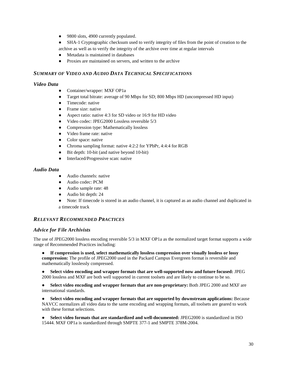- 9800 slots, 4900 currently populated.
- SHA-1 Cryptographic checksum used to verify integrity of files from the point of creation to the archive as well as to verify the integrity of the archive over time at regular intervals
- Metadata is maintained in databases
- Proxies are maintained on servers, and written to the archive

#### *SUMMARY OF VIDEO AND AUDIO DATA TECHNICAL SPECIFICATIONS*

#### *Video Data*

- Container/wrapper: MXF OP1a
- Target total bitrate: average of 90 Mbps for SD; 800 Mbps HD (uncompressed HD input)
- Timecode: native
- Frame size: native
- Aspect ratio: native 4:3 for SD video or 16:9 for HD video
- Video codec: JPEG2000 Lossless reversible 5/3
- Compression type: Mathematically lossless
- Video frame rate: native
- Color space: native
- Chroma sampling format: native 4:2:2 for YPbPr, 4:4:4 for RGB
- Bit depth: 10-bit (and native beyond 10-bit)
- Interlaced/Progressive scan: native

#### *Audio Data*

- Audio channels: native
- Audio codec: PCM
- Audio sample rate: 48
- Audio bit depth: 24
- Note: If timecode is stored in an audio channel, it is captured as an audio channel and duplicated in a timecode track

# *RELEVANT RECOMMENDED PRACTICES*

#### *Advice for File Archivists*

The use of JPEG2000 lossless encoding reversible 5/3 in MXF OP1a as the normalized target format supports a wide range of Recommended Practices including:

● **If compression is used, select mathematically lossless compression over visually lossless or lossy compression:** The profile of JPEG2000 used in the Packard Campus Evergreen format is reversible and mathematically losslessly compressed.

● **Select video encoding and wrapper formats that are well-supported now and future focused:** JPEG 2000 lossless and MXF are both well supported in current toolsets and are likely to continue to be so.

● **Select video encoding and wrapper formats that are non-proprietary:** Both JPEG 2000 and MXF are international standards.

● **Select video encoding and wrapper formats that are supported by downstream applications:** Because NAVCC normalizes all video data to the same encoding and wrapping formats, all toolsets are geared to work with these format selections.

● **Select video formats that are standardized and well-documented:** JPEG2000 is standardized in ISO 15444[.](http://www.digitalpreservation.gov/formats/fdd/fdd000266.shtml) [MXF OP1a](http://www.digitalpreservation.gov/formats/fdd/fdd000266.shtml) is standardized through SMPTE 377-1 and SMPTE 378M-2004.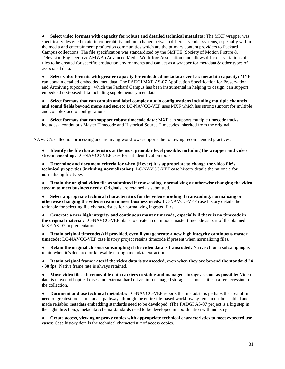● **Select video formats with capacity for robust and detailed technical metadata:** The MXF wrapper was specifically designed to aid interoperability and interchange between different vendor systems, especially within the media and entertainment production communities which are the primary content providers to Packard Campus collections. The file specification was standardized by the SMPTE (Society of Motion Picture & Television Engineers) & AMWA (Advanced Media Workflow Association) and allows different variations of files to be created for specific production environments and can act as a wrapper for metadata & other types of associated data.

● **Select video formats with greater capacity for embedded metadata over less metadata capacity:** MXF can contain detailed embedded metadata. The FADGI MXF AS-07 Application Specification for Preservation and Archiving (upcoming), which the Packard Campus has been instrumental in helping to design, can support embedded text-based data including supplementary metadata.

● **Select formats that can contain and label complex audio configurations including multiple channels and sound fields beyond mono and stereo:** LC-NAVCC-VEF uses MXF which has strong support for multiple and complex audio configurations

● **Select formats that can support robust timecode data:** MXF can support multiple timecode tracks includes a continuous Master Timecode and Historical Source Timecodes inherited from the original.

NAVCC's collection processing and archiving workflows supports the following recommended practices:

● **Identify the file characteristics at the most granular level possible, including the wrapper and video stream encoding:** LC-NAVCC-VEF uses format identification tools.

Determine and document criteria for when (if ever) it is appropriate to change the video file's **technical properties (including normalization):** LC-NAVCC-VEF case history details the rationale for normalizing file types

● **Retain the original video file as submitted if transcoding, normalizing or otherwise changing the video stream to meet business needs:** Originals are retained as submitted.

● **Select appropriate technical characteristics for the video encoding if transcoding, normalizing or otherwise changing the video stream to meet business needs:** LC-NAVCC-VEF case history details the rationale for selecting file characteristics for normalizing ingested files

Generate a new high integrity and continuous master timecode, especially if there is no timecode in **the original material:** LC-NAVCC-VEF plans to create a continuous master timecode as part of the planned MXF AS-07 implementation.

● **Retain original timecode(s) if provided, even if you generate a new high integrity continuous master timecode:** LC-NAVCC-VEF case history project retains timecode if present when normalizing files.

● **Retain the original chroma subsampling if the video data is transcoded:** Native chroma subsampling is retain when it's declared or knowable through metadata extraction.

● **Retain original frame rates if the video data is transcoded, even when they are beyond the standard 24 - 30 fps:** Native frame rate is always retained.

● **Move video files off removable data carriers to stable and managed storage as soon as possible:** Video data is moved off optical discs and external hard drives into managed storage as soon as it can after accession of the collection.

● **Document and use technical metadata:** LC-NAVCC-VEF reports that metadata is perhaps the area of in need of greatest focus: metadata pathways through the entire file-based workflow systems must be enabled and made reliable; metadata embedding standards need to be developed. (The [FADGI AS-07 project](http://www.digitizationguidelines.gov/guidelines/MXF_app_spec.html) is a big step in the right direction.); metadata schema standards need to be developed in coordination with industry

● **Create access, viewing or proxy copies with appropriate technical characteristics to meet expected use cases:** Case history details the technical characteristic of access copies.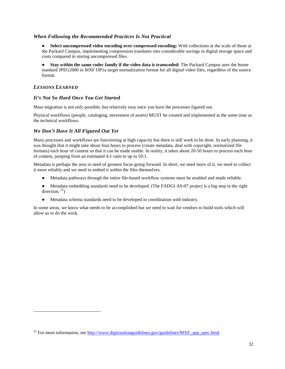#### *When Following the Recommended Practices Is Not Practical*

● **Select uncompressed video encoding over compressed encoding:** With collections at the scale of those at the Packard Campus, implementing compression translates into considerable savings in digital storage space and costs compared to storing uncompressed files.

● **Stay within the same codec family if the video data is transcoded:** The Packard Campus uses the house standard JPEG2000 in MXF OP1a target normalization format for all digital video files, regardless of the source format.

# *LESSONS LEARNED*

 $\overline{a}$ 

#### *It's Not So Hard Once You Get Started*

Mass migration is not only possible, but relatively easy once you have the processes figured out.

Physical workflows (people, cataloging, movement of assets) MUST be created and implemented at the same time as the technical workflows.

#### *We Don't Have It All Figured Out Yet*

Many processes and workflows are functioning at high capacity but there is still work to be done. In early planning, it was thought that it might take about four hours to process (create metadata, deal with copyright, normalized file formats) each hour of content so that it can be made usable. In reality, it takes about 20-50 hours to process each hour of content, jumping from an estimated 4:1 ratio to up to 50:1.

Metadata is perhaps the area in need of greatest focus going forward. In short, we need more of it, we need to collect it more reliably and we need to embed it within the files themselves.

- Metadata pathways through the entire file-based workflow systems must be enabled and made reliable.
- Metadata embedding standards need to be developed. (The FADGI AS-07 project is a big step in the right direction. $2^2$ )
- Metadata schema standards need to be developed in coordination with industry.

In some areas, we know what needs to be accomplished but we need to wait for vendors to build tools which will allow us to do the work.

<span id="page-31-0"></span> $^{22}$  For more information, see [http://www.digitizationguidelines.gov/guidelines/MXF\\_app\\_spec.html](http://www.digitizationguidelines.gov/guidelines/MXF_app_spec.html)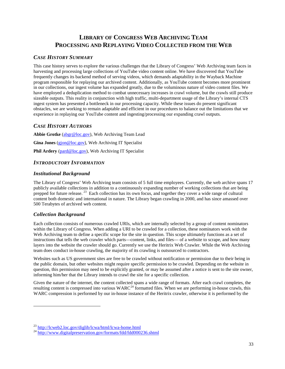# **LIBRARY OF CONGRESS WEB ARCHIVING TEAM PROCESSING AND REPLAYING VIDEO COLLECTED FROM THE WEB**

# <span id="page-32-0"></span>*CASE HISTORY SUMMARY*

This case history serves to explore the various challenges that the Library of Congress' Web Archiving team faces in harvesting and processing large collections of YouTube video content online. We have discovered that YouTube frequently changes its backend method of serving videos, which demands adaptability in the Wayback Machine program responsible for replaying our archived content. Additionally, as YouTube content becomes more prominent in our collections, our ingest volume has expanded greatly, due to the voluminous nature of video content files. We have employed a deduplication method to combat unnecessary increases in crawl volume, but the crawls still produce sizeable outputs. This reality in conjunction with high traffic, multi-department usage of the Library's internal CTS ingest system has presented a bottleneck in our processing capacity. While these issues do present significant obstacles, we are working to remain adaptable and efficient in our procedures to balance out the limitations that we experience in replaying our YouTube content and ingesting/processing our expanding crawl outputs.

# *CASE HISTORY AUTHORS*

**Abbie Grotke** [\(abgr@loc.gov\)](mailto:abgr@loc.gov), Web Archiving Team Lead **Gina Jones** [\(gjon@loc.gov](mailto:gjon@loc.gov)), Web Archiving IT Specialist **Phil Ardery** [\(pard@loc.gov\)](mailto:pard@loc.gov), Web Archiving IT Specialist

# *INTRODUCTORY INFORMATION*

#### *Institutional Background*

The Library of Congress' Web Archiving team consists of 5 full time employees. Currently, the web archive spans 17 publicly available collections in addition to a continuously expanding number of working collections that are being prepped for future release.<sup>[23](#page-32-1)</sup> Each collection has its own focus, and together they cover a wide range of cultural content both domestic and international in nature. The Library began crawling in 2000, and has since amassed over 500 Terabytes of archived web content.

#### *Collection Background*

 $\overline{a}$ 

Each collection consists of numerous crawled URIs, which are internally selected by a group of content nominators within the Library of Congress. When adding a URI to be crawled for a collection, these nominators work with the Web Archiving team to define a specific scope for the site in question. This scope ultimately functions as a set of instructions that tells the web crawler which parts—content, links, and files— of a website to scrape, and how many layers into the website the crawler should go. Currently we use the Heritrix Web Crawler. While the Web Archiving team does conduct in-house crawling, the majority of its crawling is outsourced to contractors.

Websites such as US government sites are free to be crawled without notification or permission due to their being in the public domain, but other websites might require specific permission to be crawled. Depending on the website in question, this permission may need to be explicitly granted, or may be assumed after a notice is sent to the site owner, informing him/her that the Library intends to crawl the site for a specific collection.

Given the nature of the internet, the content collected spans a wide range of formats. After each crawl completes, the resulting content is compressed into various WARC<sup>[24](#page-32-2)</sup> formatted files. When we are performing in-house crawls, this resulting content is compressed into various WARC<sup>24</sup> formatted files. When we are performing in-house cra WARC compression is performed by our in-house instance of the Heritrix crawler, otherwise it is performed by the

<span id="page-32-2"></span><span id="page-32-1"></span> $^{23}$  <http://lcweb2.loc.gov/diglib/lcwa/html/lcwa-home.html>  $^{24}$  <http://www.digitalpreservation.gov/formats/fdd/fdd000236.shtml>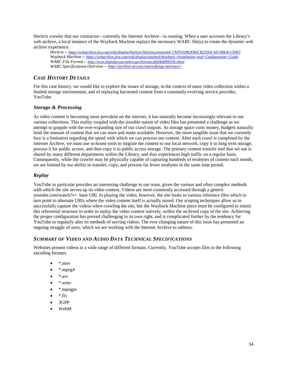Heritrix crawler that our contractor—currently the Internet Archive—is running. When a user accesses the Library's web archive, a local instance of the Wayback Machine replays the necessary WARC file(s) to create the dynamic web archive experience.

*Heritrix* -- <https://webarchive.jira.com/wiki/display/Heritrix/Heritrix;jsessionid=7AF9310B2FBECB22D3CAF140E4CCE867> *Wayback Machine -- <https://webarchive.jira.com/wiki/display/wayback/Wayback+Installation+and+Configuration+Guide> WARC File Format* -- *<http://www.digitalpreservation.gov/formats/fdd/fdd000236.shtml> WARC Specifications Overview* -- *<http://archive-access.sourceforge.net/warc/>*

# *CASE HISTORY DETAILS*

For this case history, we would like to explore the issues of storage, in the context of mass video collection within a limited storage environment, and of replaying harvested content from a constantly evolving service provider, YouTube.

# *Storage & Processing*

As video content is becoming more prevalent on the internet, it has naturally become increasingly relevant to our various collections. This reality coupled with the sizeable nature of video files has presented a challenge as we attempt to grapple with the ever-expanding size of our crawl outputs. As storage space costs money, budgets naturally limit the amount of content that we can store and make available. However, the more tangible issue that we currently face is a limitation regarding the speed with which we can process our content. After each crawl is completed by the Internet Archive, we must use in-house tools to migrate the content to our local network, copy it to long term storage, process it for public access, and then copy it to public access storage. The primary content transfer tool that we use is shared by many different departments within the Library, and thus experiences high traffic on a regular basis. Consequently, while the crawler may be physically capable of capturing hundreds of terabytes of content each month, we are limited by our ability to transfer, copy, and process far fewer terabytes in the same time period.

# *Replay*

YouTube in particular provides an interesting challenge to our team, given the various and often complex methods with which the site serves up its video content. Videos are most commonly accessed through a generic youtube.com/watch?v= base URI. In playing the video, however, the site looks to various reference files which in turn point to alternate URIs where the video content itself is actually stored. Our scoping techniques allow us to successfully capture the videos when crawling the site, but the Wayback Machine piece must be configured to mimic this referential structure in order to replay the video content natively, within the archived copy of the site. Achieving the proper configuration has proved challenging in its own right, and is complicated further by the tendency for YouTube to regularly alter its methods of serving videos. The ever changing nature of this issue has presented an ongoing struggle of sorts, which we are working with the Internet Archive to address.

# *SUMMARY OF VIDEO AND AUDIO DATA TECHNICAL SPECIFICATIONS*

Websites present videos in a wide range of different formats. Currently, YouTube accepts files in the following encoding formats:

- \*.mov
- \*.mpeg4
- \*.avi
- \*.wmv
- \*.mpegps
- \*.flv
- 3GPP
- WebM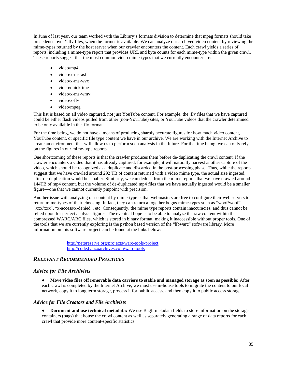In June of last year, our team worked with the Library's formats division to determine that mpeg formats should take precedence over \*.flv files, when the former is available. We can analyze our archived video content by reviewing the mime-types returned by the host server when our crawler encounters the content. Each crawl yields a series of reports, including a mime-type report that provides URL and byte counts for each mime-type within the given crawl. These reports suggest that the most common video mime-types that we currently encounter are:

- video/mp4
- video/x-ms-asf
- video/x-ms-wvx
- video/quicktime
- video/x-ms-wmv
- video/x-flv
- video/mpeg

This list is based on all video captured, not just YouTube content. For example, the .flv files that we have captured could be either flash videos pulled from other (non-YouTube) sites, or YouTube videos that the crawler determined to be only available in the .flv format

For the time being, we do not have a means of producing sharply accurate figures for how much video content, YouTube content, or specific file type content we have in our archive. We are working with the Internet Archive to create an environment that will allow us to perform such analysis in the future. For the time being, we can only rely on the figures in our mime-type reports.

One shortcoming of these reports is that the crawler produces them before de-duplicating the crawl content. If the crawler encounters a video that it has already captured, for example, it will naturally harvest another capture of the video, which should be recognized as a duplicate and discarded in the post-processing phase. Thus, while the reports suggest that we have crawled around 292 TB of content returned with a video mime type, the actual size ingested, after de-duplication would be smaller. Similarly, we can deduce from the mime reports that we have crawled around 144TB of mp4 content, but the volume of de-duplicated mp4 files that we have actually ingested would be a smaller figure—one that we cannot currently pinpoint with precision.

Another issue with analyzing our content by mime-type is that webmasters are free to configure their web servers to return mime-types of their choosing. In fact, they can return altogether bogus mime-types such as "woof/woof", "xxx/xxx", "x-access/x-denied", etc. Consequently, the mime type reports contain inaccuracies, and thus cannot be relied upon for perfect analysis figures. The eventual hope is to be able to analyze the raw content within the compressed WARC/ARC files, which is stored in binary format, making it inaccessible without proper tools. One of the tools that we are currently exploring is the python based version of the "libwarc" software library. More information on this software project can be found at the links below:

> <http://netpreserve.org/projects/warc-tools-project> <http://code.hanzoarchives.com/warc-tools>

# *RELEVANT RECOMMENDED PRACTICES*

#### *Advice for File Archivists*

● **Move video files off removable data carriers to stable and managed storage as soon as possible:** After each crawl is completed by the Internet Archive, we must use in-house tools to migrate the content to our local network, copy it to long term storage, process it for public access, and then copy it to public access storage.

#### *Advice for File Creators and File Archivists*

● **Document and use technical metadata:** We use BagIt metadata fields to store information on the storage containers (bags) that house the crawl content as well as separately generating a range of data reports for each crawl that provide more content-specific statistics.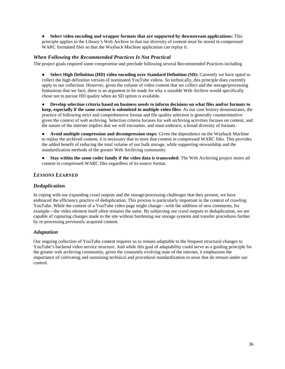● **Select video encoding and wrapper formats that are supported by downstream applications:** This principle applies to the Library's Web Archive in that our diversity of content must be stored in compressed WARC formatted files so that the Wayback Machine application can replay it.

#### *When Following the Recommended Practices Is Not Practical*

The project goals required some compromise and preclude following several Recommended Practices including

● **Select High Definition (HD) video encoding over Standard Definition (SD):** Currently we have opted to collect the high definition version of nominated YouTube videos. So technically, this principle does currently apply to our collection. However, given the volume of video content that we collect and the storage/processing limitations that we face, there is an argument to be made for why a sizeable Web Archive would specifically chose not to pursue HD quality when an SD option is available.

● **Develop selection criteria based on business needs to inform decisions on what files and/or formats to keep, especially if the same content is submitted in multiple video files:** As our case history demonstrates, the practice of following strict and comprehensive format and file quality selection is generally counterintuitive given the context of web archiving. Selection criteria focuses for web archiving activities focuses on content, and the nature of the internet implies that we will encounter, and must embrace, a broad diversity of formats.

● **Avoid multiple compression and decompression steps:** Given the dependence on the Wayback Machine to replay the archived content, it is necessary that to store that content in compressed WARC files. This provides the added benefit of reducing the total volume of our bulk storage, while supporting stewardship and the standardization methods of the greater Web Archiving community.

● **Stay within the same codec family if the video data is transcoded:** The Web Archiving project stores all content in compressed WARC files regardless of its source format.

# *LESSONS LEARNED*

#### *Deduplication*

In coping with our expanding crawl outputs and the storage/processing challenges that they present, we have embraced the efficiency practice of deduplication. This process is particularly important in the context of crawling YouTube. While the content of a YouTube video page might change—with the addition of new comments, for example—the video element itself often remains the same. By subjecting our crawl outputs to deduplication, we are capable of capturing changes made to the site without burdening our storage systems and transfer procedures further by re-processing previously acquired content.

#### *Adaptation*

Our ongoing collection of YouTube content requires us to remain adaptable to the frequent structural changes to YouTube's backend video service structure. And while this goal of adaptability could serve as a guiding principle for the greater web archiving community, given the constantly evolving state of the internet, it emphasizes the importance of cultivating and sustaining technical and procedural standardization in areas that do remain under our control.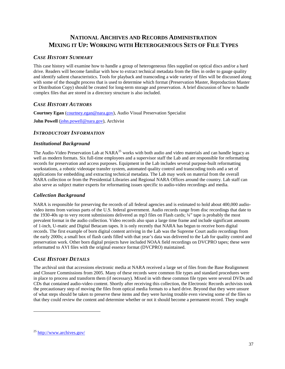# <span id="page-36-0"></span>**NATIONAL ARCHIVES AND RECORDS ADMINISTRATION MIXING IT UP: WORKING WITH HETEROGENEOUS SETS OF FILE TYPES**

# *CASE HISTORY SUMMARY*

This case history will examine how to handle a group of heterogeneous files supplied on optical discs and/or a hard drive. Readers will become familiar with how to extract technical metadata from the files in order to gauge quality and identify salient characteristics. Tools for playback and transcoding a wide variety of files will be discussed along with some of the thought process that is used to determine which format (Preservation Master, Reproduction Master or Distribution Copy) should be created for long-term storage and preservation. A brief discussion of how to handle complex files that are stored in a directory structure is also included.

# *CASE HISTORY AUTHORS*

**Courtney Egan** [\(courtney.egan@nara.gov\)](mailto:courtney.egan@nara.gov), Audio Visual Preservation Specialist

**John Powell** [\(john.powell@nara.gov\)](mailto:john.powell@nara.gov), Archivist

# *INTRODUCTORY INFORMATION*

#### *Institutional Background*

The Audio-Video Preservation Lab at NARA<sup>[25](#page-36-1)</sup> works with both audio and video materials and can handle legacy as well as modern formats. Six full-time employees and a supervisor staff the Lab and are responsible for reformatting records for preservation and access purposes. Equipment in the Lab includes several purpose-built reformatting workstations, a robotic videotape transfer system, automated quality control and transcoding tools and a set of applications for embedding and extracting technical metadata. The Lab may work on material from the overall NARA collection or from the Presidential Libraries and Regional NARA Offices around the country. Lab staff can also serve as subject matter experts for reformatting issues specific to audio-video recordings and media.

# *Collection Background*

NARA is responsible for preserving the records of all federal agencies and is estimated to hold about 400,000 audiovideo items from various parts of the U.S. federal government. Audio records range from disc recordings that date to the 1930-40s up to very recent submissions delivered as mp3 files on Flash cards; ¼" tape is probably the most prevalent format in the audio collection. Video records also span a large time frame and include significant amounts of 1-inch, U-matic and Digital Betacam tapes. It is only recently that NARA has begun to receive born digital records. The first example of born digital content arriving in the Lab was the Supreme Court audio recordings from the early 2000s; a small box of flash cards filled with that year's data was delivered to the Lab for quality control and preservation work. Other born digital projects have included NOAA field recordings on DVCPRO tapes; these were reformatted to AVI files with the original essence format (DVCPRO) maintained.

# *CASE HISTORY DETAILS*

The archival unit that accessions electronic media at NARA received a large set of files from the Base Realignment and Closure Commissions from 2005. Many of these records were common file types and standard procedures were in place to process and transform them (if necessary). Mixed in with these common file types were several DVDs and CDs that contained audio-video content. Shortly after receiving this collection, the Electronic Records archivists took the precautionary step of moving the files from optical media formats to a hard drive. Beyond that they were unsure of what steps should be taken to preserve these items and they were having trouble even viewing some of the files so that they could review the content and determine whether or not it should become a permanent record. They sought

<span id="page-36-1"></span> $^{25}$  <http://www.archives.gov/>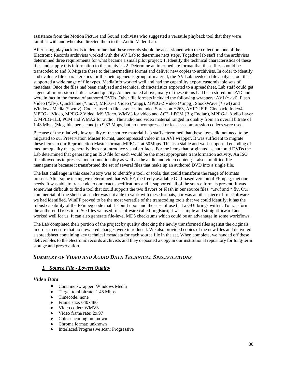assistance from the Motion Picture and Sound archivists who suggested a versatile playback tool that they were familiar with and who also directed them to the Audio-Video Lab.

After using playback tools to determine that these records should be accessioned with the collection, one of the Electronic Records archivists worked with the AV Lab to determine next steps. Together lab staff and the archivists determined three requirements for what became a small pilot project: 1. Identify the technical characteristics of these files and supply this information to the archivists 2. Determine an intermediate format that these files should be transcoded to and 3. Migrate these to the intermediate format and deliver new copies to archivists. In order to identify and evaluate file characteristics for this heterogeneous group of material, the AV Lab needed a file analysis tool that supported a wide range of file types. MediaInfo worked well and had the capability export customizable sets of metadata. Once the files had been analyzed and technical characteristics exported to a spreadsheet, Lab staff could get a general impression of file size and quality. As mentioned above, many of these items had been stored on DVD and were in fact in the format of authored DVDs. Other file formats included the following wrappers: AVI (\*.avi), Flash Video (\*.flv), QuickTime (\*.mov), MPEG-1 Video (\*.mpg), MPEG-2 Video (\*.mpg), ShockWave (\*.swf) and Windows Media (\*.wmv). Codecs used in file essences included Sorenson H263, AVID JFIF, Cinepack, Indeo4, MPEG-1 Video, MPEG-2 Video, MS Video, WMV3 for video and AC3, LPCM (Big Endian), MPEG-1 Audio Layer 2, MPEG-1L3, PCM and WMA2 for audio. The audio and video material ranged in quality from an overall bitrate of 1.48 Mbps (Megabits per second) to 9.33 Mbps, but no uncompressed or lossless compression codecs were used.

Because of the relatively low quality of the source material Lab staff determined that these items did not need to be migrated to our Preservation Master format, uncompressed video in an AVI wrapper. It was sufficient to migrate these items to our Reproduction Master format: MPEG-2 at 50Mbps. This is a stable and well-supported encoding of medium quality that generally does not introduce visual artifacts. For the items that originated as authored DVDs the Lab determined that generating an ISO file for each would be the most appropriate transformation activity. An ISO file allowed us to preserve menu functionality as well as the audio and video content; it also simplified file management because it transformed the set of several files that make up an authored DVD into a single file.

The last challenge in this case history was to identify a tool, or tools, that could transform the range of formats present. After some testing we determined that WinFF, the freely available GUI-based version of FFmpeg, met our needs. It was able to transcode to our exact specifications and it supported all of the source formats present. It was somewhat difficult to find a tool that could support the two flavors of Flash in our source files: \*.swf and \*.flv. Our commercial off the shelf transcoder was not able to work with these formats, nor was another piece of free software we had identified. WinFF proved to be the most versatile of the transcoding tools that we could identify; it has the robust capability of the FFmpeg code that it's built upon and the ease of use that a GUI brings with it. To transform the authored DVDs into ISO files we used free software called ImgBurn; it was simple and straightforward and worked well for us. It can also generate file-level MD5 checksums which could be an advantage in some workflows.

The Lab completed their portion of the project by quality checking the newly transformed files against the originals in order to ensure that no unwanted changes were introduced. We also provided copies of the new files and delivered a spreadsheet containing key technical metadata for each source file in the set. When complete, we handed off these deliverables to the electronic records archivists and they deposited a copy in our institutional repository for long-term storage and preservation.

# *SUMMARY OF VIDEO AND AUDIO DATA TECHNICAL SPECIFICATIONS*

#### *1. Source File - Lowest Quality*

#### *Video Data*

- Container/wrapper: Windows Media
- Target total bitrate: 1.48 Mbps
- Timecode: none
- Frame size:  $640x480$
- Video codec: WMV3
- Video frame rate: 29.97
- Color encoding: unknown
- Chroma format: unknown
- Interlaced/Progressive scan: Progressive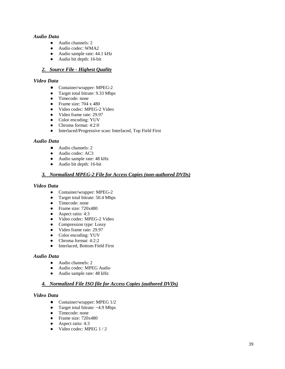#### *Audio Data*

- Audio channels: 2
- Audio codec: WMA2
- Audio sample rate: 44.1 kHz
- Audio bit depth: 16-bit

#### *2. Source File - Highest Quality*

#### *Video Data*

- Container/wrapper: MPEG-2
- Target total bitrate: 9.33 Mbps
- Timecode: none
- Frame size:  $704 \times 480$
- Video codec: MPEG-2 Video
- Video frame rate: 29.97
- Color encoding: YUV
- Chroma format: 4:2:0<br>• Interlaced/Progressive
- Interlaced/Progressive scan: Interlaced, Top Field First

#### *Audio Data*

- Audio channels: 2
- Audio codec: AC3
- Audio sample rate: 48 kHz
- Audio bit depth: 16-bit

#### *3. Normalized MPEG-2 File for Access Copies (non-authored DVDs)*

#### *Video Data*

- Container/wrapper: MPEG-2
- Target total bitrate: 50.4 Mbps
- Timecode: none
- Frame size: 720x480
- Aspect ratio: 4:3
- Video codec: MPEG-2 Video
- Compression type: Lossy
- Video frame rate: 29.97
- Color encoding: YUV
- Chroma format: 4:2:2
- Interlaced, Bottom Field First

#### *Audio Data*

- Audio channels: 2
- Audio codec: MPEG Audio
- Audio sample rate: 48 kHz

#### *4. Normalized File ISO file for Access Copies (authored DVDs)*

#### *Video Data*

- Container/wrapper: MPEG 1/2
- Target total bitrate: ~4.9 Mbps
- Timecode: none
- Frame size: 720x480
- Aspect ratio: 4:3
- Video codec: MPEG 1 / 2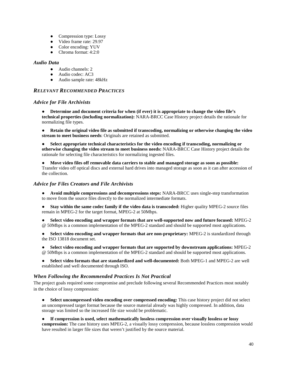- Compression type: Lossy
- Video frame rate: 29.97
- Color encoding: YUV
- Chroma format: 4:2:0

#### *Audio Data*

- Audio channels: 2
- Audio codec: AC3
- Audio sample rate: 48kHz

#### *RELEVANT RECOMMENDED PRACTICES*

#### *Advice for File Archivists*

● **Determine and document criteria for when (if ever) it is appropriate to change the video file's technical properties (including normalization):** NARA-BRCC Case History project details the rationale for normalizing file types.

● **Retain the original video file as submitted if transcoding, normalizing or otherwise changing the video stream to meet business needs**: Originals are retained as submitted.

Select appropriate technical characteristics for the video encoding if transcoding, normalizing or **otherwise changing the video stream to meet business needs:** NARA-BRCC Case History project details the rationale for selecting file characteristics for normalizing ingested files.

● **Move video files off removable data carriers to stable and managed storage as soon as possible:**  Transfer video off optical discs and external hard drives into managed storage as soon as it can after accession of the collection.

#### *Advice for Files Creators and File Archivists*

● **Avoid multiple compressions and decompressions steps:** NARA-BRCC uses single-step transformation to move from the source files directly to the normalized intermediate formats.

● **Stay within the same codec family if the video data is transcoded:** Higher quality MPEG-2 source files remain in MPEG-2 for the target format, MPEG-2 at 50Mbps.

Select video encoding and wrapper formats that are well-supported now and future focused: MPEG-2 @ 50Mbps is a common implementation of the MPEG-2 standard and should be supported most applications.

Select video encoding and wrapper formats that are non-proprietary: MPEG-2 is standardized through the ISO 13818 document set.

● **Select video encoding and wrapper formats that are supported by downstream applications:** MPEG-2 @ 50Mbps is a common implementation of the MPEG-2 standard and should be supported most applications.

● **Select video formats that are standardized and well-documented:** Both MPEG-1 and MPEG-2 are well established and well documented through ISO.

#### *When Following the Recommended Practices Is Not Practical*

The project goals required some compromise and preclude following several Recommended Practices most notably in the choice of lossy compression:

**Select uncompressed video encoding over compressed encoding:** This case history project did not select an uncompressed target format because the source material already was highly compressed. In addition, data storage was limited so the increased file size would be problematic.

● **If compression is used, select mathematically lossless compression over visually lossless or lossy compression:** The case history uses MPEG-2, a visually lossy compression, because lossless compression would have resulted in larger file sizes that weren't justified by the source material.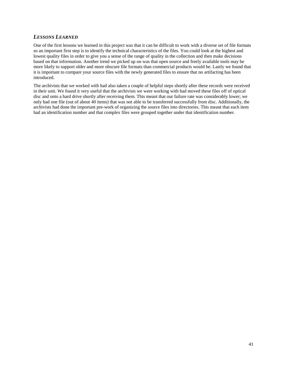# *LESSONS LEARNED*

One of the first lessons we learned in this project was that it can be difficult to work with a diverse set of file formats so an important first step is to identify the technical characteristics of the files. You could look at the highest and lowest quality files in order to give you a sense of the range of quality in the collection and then make decisions based on that information. Another trend we picked up on was that open source and freely available tools may be more likely to support older and more obscure file formats than commercial products would be. Lastly we found that it is important to compare your source files with the newly generated files to ensure that no artifacting has been introduced.

The archivists that we worked with had also taken a couple of helpful steps shortly after these records were received in their unit. We found it very useful that the archivists we were working with had moved these files off of optical disc and onto a hard drive shortly after receiving them. This meant that our failure rate was considerably lower; we only had one file (out of about 40 items) that was not able to be transferred successfully from disc. Additionally, the archivists had done the important pre-work of organizing the source files into directories. This meant that each item had an identification number and that complex files were grouped together under that identification number.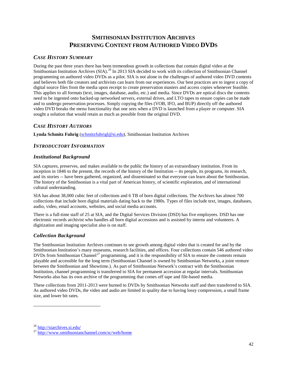# **SMITHSONIAN INSTITUTION ARCHIVES PRESERVING CONTENT FROM AUTHORED VIDEO DVDS**

# <span id="page-41-0"></span>*CASE HISTORY SUMMARY*

During the past three years there has been tremendous growth in collections that contain digital video at the Smithsonian Institution Archives (SIA).<sup>[26](#page-41-1)</sup> In 2013 SIA decided to work with its collection of Smithsonian Channel programming on authored video DVDs as a pilot. SIA is not alone in the challenges of authored video DVD contents and believes both file creators and archivists can learn from our experiences. Our best practices are to ingest a copy of digital source files from the media upon receipt to create preservation masters and access copies whenever feasible. This applies to all formats (text, images, database, audio, etc.) and media. Since DVDs are optical discs the contents need to be ingested onto backed-up networked servers, external drives, and LTO tapes to ensure copies can be made and to undergo preservation processes. Simply copying the files (VOB, IFO, and BUP) directly off the authored video DVD breaks the menu functionality that one sees when a DVD is launched from a player or computer. SIA sought a solution that would retain as much as possible from the original DVD.

# *CASE HISTORY AUTHORS*

**Lynda Schmitz Fuhrig** [\(schmitzfuhrigl@si.edu\)](mailto:schmitzfuhrigl@si.edu), Smithsonian Institution Archives

# *INTRODUCTORY INFORMATION*

#### *Institutional Background*

SIA captures, preserves, and makes available to the public the history of an extraordinary institution. From its inception in 1846 to the present, the records of the history of the Institution -- its people, its programs, its research, and its stories -- have been gathered, organized, and disseminated so that everyone can learn about the Smithsonian. The history of the Smithsonian is a vital part of American history, of scientific exploration, and of international cultural understanding.

SIA has about 38,000 cubic feet of collections and 6 TB of born digital collections. The Archives has almost 700 collections that include born digital materials dating back to the 1980s. Types of files include text, images, databases, audio, video, email accounts, websites, and social media accounts.

There is a full-time staff of 25 at SIA, and the Digital Services Division (DSD) has five employees. DSD has one electronic records archivist who handles all born digital accessions and is assisted by interns and volunteers. A digitization and imaging specialist also is on staff.

#### *Collection Background*

The Smithsonian Institution Archives continues to see growth among digital video that is created for and by the Smithsonian Institution's many museums, research facilities, and offices. Four collections contain 546 authored video DVDs from Smithsonian Channel<sup>[27](#page-41-2)</sup> programming, and it is the responsibility of SIA to ensure the contents remain playable and accessible for the long term (Smithsonian Channel is owned by Smithsonian Networks, a joint venture between the Smithsonian and Showtime.). As part of Smithsonian Network's contract with the Smithsonian Institution, channel programming is transferred to SIA for permanent accession at regular intervals. Smithsonian Networks also has its own archive of the programming that comes off tape and file-based media.

These collections from 2011-2013 were burned to DVDs by Smithsonian Networks staff and then transferred to SIA. As authored video DVDs, the video and audio are limited in quality due to having lossy compression, a small frame size, and lower bit rates.

<span id="page-41-2"></span><span id="page-41-1"></span> $\frac{26}{27}$  <http://siarchives.si.edu/><br> $\frac{27}{27}$  <http://www.smithsonianchannel.com/sc/web/home>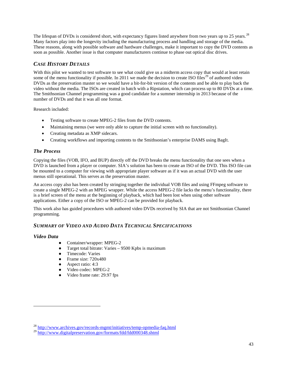The lifespan of DVDs is considered short, with expectancy figures listed anywhere from two years up to 25 years.<sup>[28](#page-42-0)</sup> Many factors play into the longevity including the manufacturing process and handling and storage of the media. These reasons, along with possible software and hardware challenges, make it important to copy the DVD contents as soon as possible. Another issue is that computer manufacturers continue to phase out optical disc drives.

# *CASE HISTORY DETAILS*

With this pilot we wanted to test software to see what could give us a midterm access copy that would at least retain some of the menu functionality if possible. In 2011 we made the decision to create ISO files<sup>[29](#page-42-1)</sup> of authored video DVDs as the preservation master so we would have a bit-for-bit version of the contents and be able to play back the video without the media. The ISOs are created in batch with a Ripstation, which can process up to 80 DVDs at a time. The Smithsonian Channel programming was a good candidate for a summer internship in 2013 because of the number of DVDs and that it was all one format.

Research included:

- Testing software to create MPEG-2 files from the DVD contents.
- Maintaining menus (we were only able to capture the initial screen with no functionality).
- Creating metadata as XMP sidecars.
- Creating workflows and importing contents to the Smithsonian's enterprise DAMS using BagIt.

# *The Process*

Copying the files (VOB, IFO, and BUP) directly off the DVD breaks the menu functionality that one sees when a DVD is launched from a player or computer. SIA's solution has been to create an ISO of the DVD. This ISO file can be mounted to a computer for viewing with appropriate player software as if it was an actual DVD with the user menus still operational. This serves as the preservation master.

An access copy also has been created by stringing together the individual VOB files and using FFmpeg software to create a single MPEG-2 with an MPEG wrapper. While the access MPEG-2 file lacks the menu's functionality, there is a brief screen of the menu at the beginning of playback, which had been lost when using other software applications. Either a copy of the ISO or MPEG-2 can be provided for playback.

This work also has guided procedures with authored video DVDs received by SIA that are not Smithsonian Channel programming.

# *SUMMARY OF VIDEO AND AUDIO DATA TECHNICAL SPECIFICATIONS*

#### *Video Data*

- Container/wrapper: MPEG-2
- Target total bitrate: Varies  $-9500$  Kpbs is maximum
- Timecode: Varies
- Frame size: 720x480
- Aspect ratio: 4:3
- Video codec: MPEG-2
- Video frame rate: 29.97 fps

<sup>&</sup>lt;sup>28</sup> <http://www.archives.gov/records-mgmt/initiatives/temp-opmedia-faq.html>

<span id="page-42-1"></span><span id="page-42-0"></span><sup>&</sup>lt;sup>29</sup> <http://www.digitalpreservation.gov/formats/fdd/fdd000348.shtml>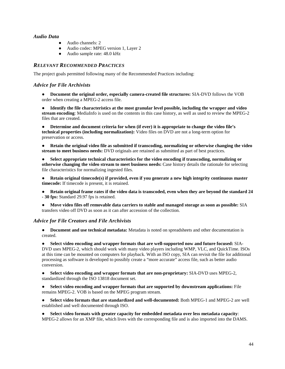#### *Audio Data*

- Audio channels: 2
- Audio codec: MPEG version 1, Layer 2
- Audio sample rate: 48.0 kHz

# *RELEVANT RECOMMENDED PRACTICES*

The project goals permitted following many of the Recommended Practices including:

#### *Advice for File Archivists*

● **Document the original order, especially camera-created file structures:** SIA-DVD follows the VOB order when creating a MPEG-2 access file.

● **Identify the file characteristics at the most granular level possible, including the wrapper and video stream encoding**: MediaInfo is used on the contents in this case history, as well as used to review the MPEG-2 files that are created.

● **Determine and document criteria for when (if ever) it is appropriate to change the video file's technical properties (including normalization):** Video files on DVD are not a long-term option for preservation or access.

● **Retain the original video file as submitted if transcoding, normalizing or otherwise changing the video stream to meet business needs:** DVD originals are retained as submitted as part of best practices.

● **Select appropriate technical characteristics for the video encoding if transcoding, normalizing or otherwise changing the video stream to meet business needs:** Case history details the rationale for selecting file characteristics for normalizing ingested files.

- **Retain original timecode(s) if provided, even if you generate a new high integrity continuous master timecode:** If timecode is present, it is retained.
- **Retain original frame rates if the video data is transcoded, even when they are beyond the standard 24 - 30 fps:** Standard 29.97 fps is retained.
- **Move video files off removable data carriers to stable and managed storage as soon as possible:** SIA transfers video off DVD as soon as it can after accession of the collection.

#### *Advice for File Creators and File Archivists*

● **Document and use technical metadata:** Metadata is noted on spreadsheets and other documentation is created.

● **Select video encoding and wrapper formats that are well-supported now and future focused:** SIA-DVD uses MPEG-2, which should work with many video players including WMP, VLC, and QuickTime. ISOs at this time can be mounted on computers for playback. With an ISO copy, SIA can revisit the file for additional processing as software is developed to possibly create a "more accurate" access file, such as better audio conversion.

● **Select video encoding and wrapper formats that are non-proprietary:** SIA-DVD uses MPEG-2, standardized through the ISO 13818 document set.

● **Select video encoding and wrapper formats that are supported by downstream applications:** File remains MPEG-2. VOB is based on the MPEG program stream.

● **Select video formats that are standardized and well-documented:** Both MPEG-1 and MPEG-2 are well established and well documented through ISO.

● **Select video formats with greater capacity for embedded metadata over less metadata capacity**: MPEG-2 allows for an XMP file, which lives with the corresponding file and is also imported into the DAMS.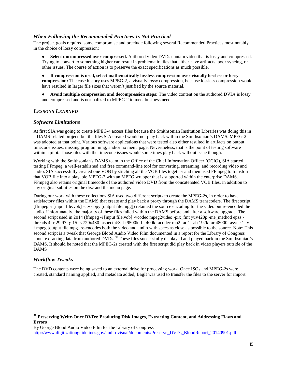#### *When Following the Recommended Practices Is Not Practical*

The project goals required some compromise and preclude following several Recommended Practices most notably in the choice of lossy compression:

● **Select uncompressed over compressed.** Authored video DVDs contain video that is lossy and compressed. Trying to convert to something higher can result in problematic files that either have artifacts, poor syncing, or other issues. The course of action is to preserve the exact specifications as much possible.

● **If compression is used, select mathematically lossless compression over visually lossless or lossy compression:** The case history uses MPEG-2, a visually lossy compression, because lossless compression would have resulted in larger file sizes that weren't justified by the source material.

● **Avoid multiple compression and decompression steps:** The video content on the authored DVDs is lossy and compressed and is normalized to MPEG-2 to meet business needs.

#### *LESSONS LEARNED*

#### *Software Limitations*

At first SIA was going to create MPEG-4 access files because the Smithsonian Institution Libraries was doing this in a DAMS-related project, but the files SIA created would not play back within the Smithsonian's DAMS. MPEG-2 was adopted at that point. Various software applications that were tested also either resulted in artifacts on output, timecode issues, missing programming, and/or no menu page. Nevertheless, that is the point of testing software within a pilot. Those files with the timecode issues would sometimes play back without issue though.

Working with the Smithsonian's DAMS team in the Office of the Chief Information Officer (OCIO), SIA started testing FFmpeg, a well-established and free command-line tool for converting, streaming, and recording video and audio. SIA successfully created one VOB by stitching all the VOB files together and then used FFmpeg to transform that VOB file into a playable MPEG-2 with an MPEG wrapper that is supported within the enterprise DAMS. FFmpeg also retains original timecode of the authored video DVD from the concatenated VOB files, in addition to any original subtitles on the disc and the menu page.

During our work with these collections SIA used two different scripts to create the MPEG-2s, in order to have satisfactory files within the DAMS that create and play back a proxy through the DAMS transcoders. The first script (ffmpeg -i [input file.vob] -c:v copy [output file.mpg]) retained the source encoding for the video but re-encoded the audio. Unfortunately, the majority of these files failed within the DAMS before and after a software upgrade. The second script used in 2014 (ffmpeg -i [input file.vob] -vcodec mpeg2video -pix\_fmt yuv420p -me\_method epzs threads 4 -r 29.97 -g 15 -s 720x480 -aspect 4:3 -b 9500k -bt 400k -acodec mp2 -ac 2 -ab 192k -ar 48000 -async 1 -y f mpeg [output file.mpg] re-encodes both the video and audio with specs as close as possible to the source. Note: This second script is a tweak that George Blood Audio Video Film documented in a report for the Library of Congress about extracting data from authored DVDs.<sup>[30](#page-44-0)</sup> These files successfully displayed and played back in the Smithsonian's DAMS. It should be noted that the MPEG-2s created with the first script did play back in video players outside of the DAMS

#### *Workflow Tweaks*

 $\overline{a}$ 

The DVD contents were being saved to an external drive for processing work. Once ISOs and MPEG-2s were created, standard naming applied, and metadata added, BagIt was used to transfer the files to the server for import

<span id="page-44-0"></span>**<sup>30</sup> Preserving Write-Once DVDs: Producing Disk Images, Extracting Content, and Addressing Flaws and Errors**

By George Blood Audio Video Film for the Library of Congress [http://www.digitizationguidelines.gov/audio-visual/documents/Preserve\\_DVDs\\_BloodReport\\_20140901.pdf](http://www.digitizationguidelines.gov/audio-visual/documents/Preserve_DVDs_BloodReport_20140901.pdf)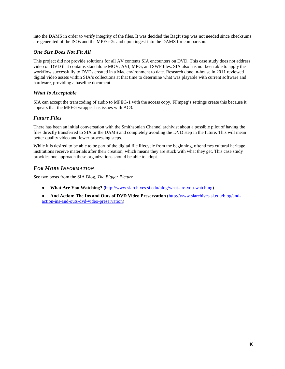into the DAMS in order to verify integrity of the files. It was decided the BagIt step was not needed since checksums are generated of the ISOs and the MPEG-2s and upon ingest into the DAMS for comparison.

#### *One Size Does Not Fit All*

This project did not provide solutions for all AV contents SIA encounters on DVD. This case study does not address video on DVD that contains standalone MOV, AVI, MPG, and SWF files. SIA also has not been able to apply the workflow successfully to DVDs created in a Mac environment to date. Research done in-house in 2011 reviewed digital video assets within SIA's collections at that time to determine what was playable with current software and hardware, providing a baseline document.

#### *What Is Acceptable*

SIA can accept the transcoding of audio to MPEG-1 with the access copy. FFmpeg's settings create this because it appears that the MPEG wrapper has issues with AC3.

# *Future Files*

There has been an initial conversation with the Smithsonian Channel archivist about a possible pilot of having the files directly transferred to SIA or the DAMS and completely avoiding the DVD step in the future. This will mean better quality video and fewer processing steps.

While it is desired to be able to be part of the digital file lifecycle from the beginning, oftentimes cultural heritage institutions receive materials after their creation, which means they are stuck with what they get. This case study provides one approach these organizations should be able to adopt.

# *FOR MORE INFORMATION*

See two posts from the SIA Blog, *The Bigger Picture*

- **What Are You Watching? (**[http://www.siarchives.si.edu/blog/what-are-you-watching\)](http://www.siarchives.si.edu/blog/what-are-you-watching)
- **And Action: The Ins and Outs of DVD Video Preservation** [\(http://www.siarchives.si.edu/blog/and](http://www.siarchives.si.edu/blog/and-action-ins-and-outs-dvd-video-preservation)[action-ins-and-outs-dvd-video-preservation\)](http://www.siarchives.si.edu/blog/and-action-ins-and-outs-dvd-video-preservation)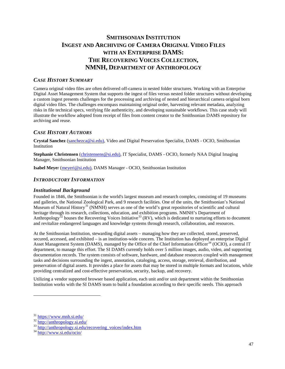# <span id="page-46-0"></span>**SMITHSONIAN INSTITUTION INGEST AND ARCHIVING OF CAMERA ORIGINAL VIDEO FILES WITH AN ENTERPRISE DAMS: THE RECOVERING VOICES COLLECTION, NMNH, DEPARTMENT OF ANTHROPOLOGY**

# *CASE HISTORY SUMMARY*

Camera original video files are often delivered off-camera in nested folder structures. Working with an Enterprise Digital Asset Management System that supports the ingest of files versus nested folder structures without developing a custom ingest presents challenges for the processing and archiving of nested and hierarchical camera original born digital video files. The challenges encompass maintaining original order, harvesting relevant metadata, analyzing risks in file technical specs, verifying file authenticity, and developing sustainable workflows. This case study will illustrate the workflow adopted from receipt of files from content creator to the Smithsonian DAMS repository for archiving and reuse.

#### *CASE HISTORY AUTHORS*

**Crystal Sanchez** [\(sanchezca@si.edu\)](mailto:sanchezca@si.edu), Video and Digital Preservation Specialist, DAMS - OCIO, Smithsonian Institution

**Stephanie Christensen** [\(christensens@si.edu\)](mailto:christensens@si.edu), IT Specialist, DAMS - OCIO, formerly NAA Digital Imaging Manager, Smithsonian Institution

**Isabel Meye**r [\(meyeri@si.edu\)](mailto:meyeri@si.edu), DAMS Manager - OCIO, Smithsonian Institution

#### *INTRODUCTORY INFORMATION*

#### *Institutional Background*

Founded in 1846, the Smithsonian is the world's largest museum and research complex, consisting of 19 museums and galleries, the National Zoological Park, and 9 research facilities. One of the units, the Smithsonian's National Museum of Natural History<sup>[31](#page-46-1)</sup> (NMNH) serves as one of the world's great repositories of scientific and cultural heritage through its research, collections, education, and exhibition programs. NMNH's Department of Anthropology<sup>[32](#page-46-2)</sup> houses the Recovering Voices Initiative<sup>[33](#page-46-3)</sup> (RV), which is dedicated to nurturing efforts to document and revitalize endangered languages and knowledge systems through research, collaboration, and resources.

At the [Smithsonian Institution,](http://www.si.edu/) stewarding digital assets – managing how they are collected, stored, preserved, secured, accessed, and exhibited – is an institution-wide concern. The Institution has deployed an enterprise Digital Asset Management System (DAMS), managed by the Office of the Chief Information Officer<sup>[34](#page-46-4)</sup> (OCIO), a central IT department, to manage this effort. The SI DAMS currently holds over 5 million images, audio, video, and supporting documentation records. The system consists of software, hardware, and database resources coupled with management tasks and decisions surrounding the ingest, annotation, cataloging, access, storage, retrieval, distribution, and preservation of [digital assets](http://en.wikipedia.org/wiki/Digital_asset). It provides a place for assets that may be stored in multiple formats and locations, while providing centralized and cost-effective preservation, security, backup, and recovery.

Utilizing a vendor supported browser based application, each unit and/or unit department within the Smithsonian Institution works with the SI DAMS team to build a foundation according to their specific needs. This approach

<span id="page-46-2"></span>

<span id="page-46-1"></span> $\frac{31 \text{ https://www.mnh.si.edu/}}{32 \text{ [http://anthropology.si.edu/}}](http://anthropology.si.edu/)$  $\frac{31 \text{ https://www.mnh.si.edu/}}{32 \text{ [http://anthropology.si.edu/}}](http://anthropology.si.edu/)$  $\frac{31 \text{ https://www.mnh.si.edu/}}{32 \text{ [http://anthropology.si.edu/}}](http://anthropology.si.edu/)$  $\frac{31 \text{ https://www.mnh.si.edu/}}{32 \text{ [http://anthropology.si.edu/}}](http://anthropology.si.edu/)$  $\frac{31 \text{ https://www.mnh.si.edu/}}{32 \text{ [http://anthropology.si.edu/}}](http://anthropology.si.edu/)$ <br>  $\frac{33 \text{ [\frac{34 \text{ \[http://www.si.edu/occio/}}{http://www.si.edu/occio/}}\]\(http://www.si.edu/occio/\)](http://anthropology.si.edu/}}{http://anthropology.si.edu/recovering\_voices/index.htm}}</math><br> <math display=)$ 

<span id="page-46-4"></span><span id="page-46-3"></span>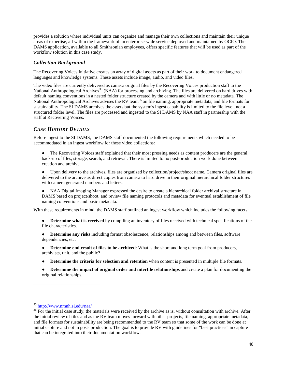provides a solution where individual units can organize and manage their own collections and maintain their unique areas of expertise, all within the framework of an enterprise-wide service deployed and maintained by OCIO. The DAMS application, available to all Smithsonian employees, offers specific features that will be used as part of the workflow solution in this case study.

#### *Collection Background*

The Recovering Voices Initiative creates an array of digital assets as part of their work to document endangered languages and knowledge systems. These assets include image, audio, and video files.

The video files are currently delivered as camera original files by the Recovering Voices production staff to the National Anthropological Archives<sup>[35](#page-47-0)</sup> (NAA) for processing and archiving. The files are delivered on hard drives with default naming conventions in a nested folder structure created by the camera and with little or no metadata. The National Anthropological Archives advises the RV team<sup>[36](#page-47-1)</sup> on file naming, appropriate metadata, and file formats for sustainability. The SI DAMS archives the assets but the system's ingest capability is limited to the file level, not a structured folder level. The files are processed and ingested to the SI DAMS b[y NAA](http://www.nmnh.si.edu/naa/) staff in partnership with the staff at Recovering Voices.

# *CASE HISTORY DETAILS*

Before ingest to the SI DAMS, the DAMS staff documented the following requirements which needed to be accommodated in an ingest workflow for these video collections:

• The Recovering Voices staff explained that their most pressing needs as content producers are the general back-up of files, storage, search, and retrieval. There is limited to no post-production work done between creation and archive.

● Upon delivery to the archives, files are organized by collection/project/shoot name. Camera original files are delivered to the archive as direct copies from camera to hard drive in their original hierarchical folder structures with camera generated numbers and letters.

● NAA Digital Imaging Manager expressed the desire to create a hierarchical folder archival structure in DAMS based on project/shoot, and review file naming protocols and metadata for eventual establishment of file naming conventions and basic metadata.

With these requirements in mind, the DAMS staff outlined an ingest workflow which includes the following facets:

**Determine what is received** by compiling an inventory of files received with technical specifications of the file characteristics.

● **Determine any risks** including format obsolescence, relationships among and between files, software dependencies, etc.

● **Determine end result of files to be archived**: What is the short and long term goal from producers, archivists, unit, and the public?

- **Determine the criteria for selection and retention** when content is presented in multiple file formats.
- **Determine the impact of original order and interfile relationships** and create a plan for documenting the original relationships.

<span id="page-47-1"></span><span id="page-47-0"></span> $\frac{35 \text{ http://www.nmnh.si.edu/naa/}}{36 \text{ For the initial case study, the materials were received by the archive as is, without consultation with archive. After}$  $\frac{35 \text{ http://www.nmnh.si.edu/naa/}}{36 \text{ For the initial case study, the materials were received by the archive as is, without consultation with archive. After}$  $\frac{35 \text{ http://www.nmnh.si.edu/naa/}}{36 \text{ For the initial case study, the materials were received by the archive as is, without consultation with archive. After}$ the initial review of files and as the RV team moves forward with other projects, file naming, appropriate metadata, and file formats for sustainability are being recommended to the RV team so that some of the work can be done at initial capture and not in post- production. The goal is to provide RV with guidelines for "best practices" in capture that can be integrated into their documentation workflow.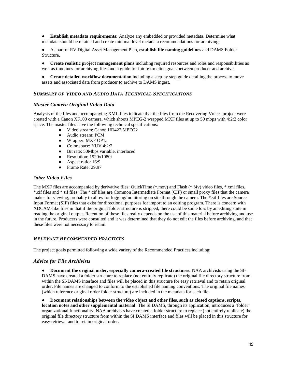● **Establish metadata requirements:** Analyze any embedded or provided metadata. Determine what metadata should be retained and create minimal level metadata recommendations for archiving.

● As part of RV Digital Asset Management Plan, **establish file naming guidelines** and DAMS Folder Structure.

● **Create realistic project management plans** including required resources and roles and responsibilities as well as timelines for archiving files and a guide for future timeline goals between producer and archive.

● **Create detailed workflow documentation** including a step by step guide detailing the process to move assets and associated data from producer to archive to DAMS ingest.

#### *SUMMARY OF VIDEO AND AUDIO DATA TECHNICAL SPECIFICATIONS*

#### *Master Camera Original Video Data*

Analysis of the files and accompanying XML files indicate that the files from the Recovering Voices project were created with a Canon XF100 camera, which shoots MPEG-2 wrapped MXF files at up to 50 mbps with 4:2:2 color space. The master files have the following technical specifications:

- Video stream: Canon HD422 MPEG2
- Audio stream: PCM
- Wrapper: MXF OP1a
- Color space: YUV 4:2:2
- Bit rate: 50Mbps variable, interlaced
- Resolution: 1920x1080i
- Aspect ratio: 16:9
- Frame Rate: 29.97

#### *Other Video Files*

The MXF files are accompanied by derivative files: QuickTime (\*.mov) and Flash (\*.f4v) video files, \*.xml files, \*.cif files and \*.sif files. The \*.cif files are Common Intermediate Format (CIF) or small proxy files that the camera makes for viewing, probably to allow for logging/monitoring on site through the camera. The \*.sif files are Source Input Format (SIF) files that exist for directional purposes for import to an editing program. There is concern with XDCAM-like files in that if the original folder structure is stripped, there could be some loss by an editing suite in reading the original output. Retention of these files really depends on the use of this material before archiving and use in the future. Producers were consulted and it was determined that they do not edit the files before archiving, and that these files were not necessary to retain.

#### *RELEVANT RECOMMENDED PRACTICES*

The project goals permitted following a wide variety of the Recommended Practices including:

#### *Advice for File Archivists*

● **Document the original order, especially camera-created file structures:** NAA archivists using the SI-DAMS have created a folder structure to replace (not entirely replicate) the original file directory structure from within the SI-DAMS interface and files will be placed in this structure for easy retrieval and to retain original order. File names are changed to conform to the established file naming conventions. The original file names (which reference original order folder structure) are included in the metadata for each file.

● **Document relationships between the video object and other files, such as closed captions, scripts, location notes and other supplemental material:** The SI DAMS, through its application, introduces a 'folder' organizational functionality. NAA archivists have created a folder structure to replace (not entirely replicate) the original file directory structure from within the SI DAMS interface and files will be placed in this structure for easy retrieval and to retain original order.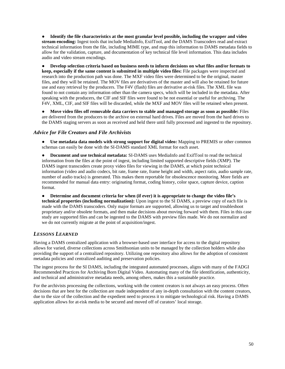● **Identify the file characteristics at the most granular level possible, including the wrapper and video stream encoding:** Ingest tools that include MediaInfo, ExifTool, and the DAMS Transcoders read and extract technical information from the file, including MIME type, and map this information to DAMS metadata fields to allow for the validation, capture, and documentation of key technical file level information. This data includes audio and video stream encodings.

● **Develop selection criteria based on business needs to inform decisions on what files and/or formats to keep, especially if the same content is submitted in multiple video files:** File packages were inspected and research into the production path was done. The MXF video files were determined to be the original, master files, and they will be retained. The MOV files are derivatives of the master and will also be retained for future use and easy retrieval by the producers. The F4V (flash) files are derivative at-risk files. The XML file was found to not contain any information other than the camera specs, which will be included in the metadata. After speaking with the producers, the CIF and SIF files were found to be not essential or useful for archiving. The F4V, XML, CIF, and SIF files will be discarded, while the MXF and MOV files will be retained when present.

● **Move video files off removable data carriers to stable and managed storage as soon as possible:** Files are delivered from the producers to the archive on external hard drives. Files are moved from the hard drives to the DAMS staging servers as soon as received and held there until fully processed and ingested to the repository.

#### *Advice for File Creators and File Archivists*

● **Use metadata data models with strong support for digital video:** Mapping to PREMIS or other common schemas can easily be done with the SI-DAMS standard XML format for each asset.

● **Document and use technical metadata:** SI-DAMS uses MediaInfo and ExifTool to read the technical information from the files at the point of ingest, including limited supported descriptive fields (XMP). The DAMS ingest transcoders create proxy video files for viewing in the DAMS, at which point technical information (video and audio codecs, bit rate, frame rate, frame height and width, aspect ratio, audio sample rate, number of audio tracks) is generated. This makes them reportable for obsolescence monitoring. More fields are recommended for manual data entry: originating format, coding history, color space, capture device, caption format.

● **Determine and document criteria for when (if ever) it is appropriate to change the video file's technical properties (including normalization):** Upon ingest to the SI DAMS, a preview copy of each file is made with the DAMS transcoders. Only major formats are supported, allowing us to target and troubleshoot proprietary and/or obsolete formats, and then make decisions about moving forward with them. Files in this case study are supported files and can be ingested to the DAMS with preview files made. We do not normalize and we do not currently migrate at the point of acquisition/ingest.

#### *LESSONS LEARNED*

Having a DAMS centralized application with a browser-based user interface for access to the digital repository allows for varied, diverse collections across Smithsonian units to be managed by the collection holders while also providing the support of a centralized repository. Utilizing one repository also allows for the adoption of consistent metadata policies and centralized auditing and preservation policies.

The ingest process for the SI DAMS, including the integrated automated processes, aligns with many of the FADGI Recommended Practices for Archiving Born Digital Video. Automating many of the file identification, authenticity, and technical and administrative metadata needs, among others, makes this a sustainable practice.

For the archivists processing the collections, working with the content creators is not always an easy process. Often decisions that are best for the collection are made independent of any in-depth consultation with the content creators, due to the size of the collection and the expedient need to process it to mitigate technological risk. Having a DAMS application allows for at-risk media to be secured and moved off of curators' local storage.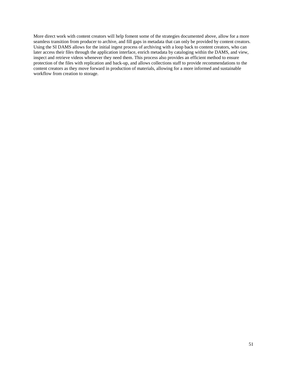More direct work with content creators will help foment some of the strategies documented above, allow for a more seamless transition from producer to archive, and fill gaps in metadata that can only be provided by content creators. Using the SI DAMS allows for the initial ingest process of archiving with a loop back to content creators, who can later access their files through the application interface, enrich metadata by cataloging within the DAMS, and view, inspect and retrieve videos whenever they need them. This process also provides an efficient method to ensure protection of the files with replication and back-up, and allows collections staff to provide recommendations to the content creators as they move forward in production of materials, allowing for a more informed and sustainable workflow from creation to storage.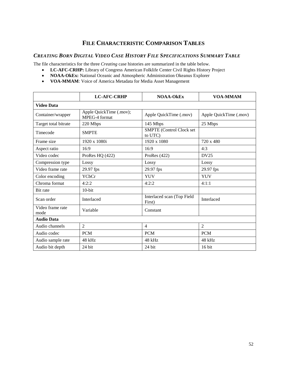# **FILE CHARACTERISTIC COMPARISON TABLES**

# <span id="page-51-1"></span><span id="page-51-0"></span>*CREATING BORN DIGITAL VIDEO CASE HISTORY FILE SPECIFICATIONS SUMMARY TABLE*

The file characteristics for the three *Creating* case histories are summarized in the table below.

- **LC-AFC-CRHP:** Library of Congress American Folklife Center Civil Rights History Project
- **NOAA-OkEx:** National Oceanic and Atmospheric Administration Okeanus Explorer
- **VOA-MMAM**: Voice of America Metadata for Media Asset Management

<span id="page-51-2"></span>

|                          | <b>LC-AFC-CRHP</b>                       | <b>NOAA-OkEx</b>                           | <b>VOA-MMAM</b>        |  |  |  |  |  |
|--------------------------|------------------------------------------|--------------------------------------------|------------------------|--|--|--|--|--|
| <b>Video Data</b>        |                                          |                                            |                        |  |  |  |  |  |
| Container/wrapper        | Apple QuickTime (.mov);<br>MPEG-4 format | Apple QuickTime (.mov)                     | Apple QuickTime (.mov) |  |  |  |  |  |
| Target total bitrate     | 220 Mbps                                 | 145 Mbps                                   | 25 Mbps                |  |  |  |  |  |
| Timecode                 | <b>SMPTE</b>                             | <b>SMPTE</b> (Control Clock set<br>to UTC) |                        |  |  |  |  |  |
| Frame size               | 1920 x 1080i                             | 1920 x 1080                                | 720 x 480              |  |  |  |  |  |
| Aspect ratio             | 16:9                                     | 16:9                                       | 4:3                    |  |  |  |  |  |
| Video codec              | ProRes HQ (422)                          | ProRes (422)                               | DV25                   |  |  |  |  |  |
| Compression type         | Lossy                                    | Lossy                                      | Lossy                  |  |  |  |  |  |
| Video frame rate         | 29.97 fps                                | 29.97 fps                                  | 29.97 fps              |  |  |  |  |  |
| Color encoding           | <b>YCbCr</b>                             | <b>YUV</b>                                 | <b>YUV</b>             |  |  |  |  |  |
| Chroma format            | 4:2:2                                    | 4:2:2                                      | 4:1:1                  |  |  |  |  |  |
| Bit rate                 | $10$ -bit                                |                                            |                        |  |  |  |  |  |
| Scan order               | Interlaced                               | Interlaced scan (Top Field<br>First)       | Interlaced             |  |  |  |  |  |
| Video frame rate<br>mode | Variable                                 | Constant                                   |                        |  |  |  |  |  |
| <b>Audio Data</b>        |                                          |                                            |                        |  |  |  |  |  |
| Audio channels           | $\mathfrak{D}$                           | $\overline{4}$                             | $\overline{2}$         |  |  |  |  |  |
| Audio codec              | <b>PCM</b>                               | <b>PCM</b>                                 | <b>PCM</b>             |  |  |  |  |  |
| Audio sample rate        | 48 kHz                                   | $48$ kHz                                   | 48 kHz                 |  |  |  |  |  |
| Audio bit depth          | 24 bit                                   | 24 bit                                     | 16 bit                 |  |  |  |  |  |